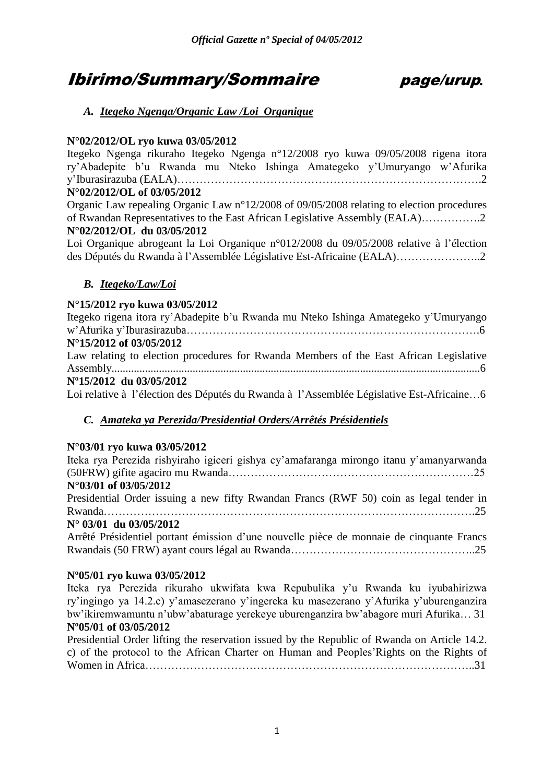# Ibirimo/Summary/Sommaire page/urup*.*

# *A. Itegeko Ngenga/Organic Law /Loi Organique*

# **N°02/2012/OL ryo kuwa 03/05/2012**

Itegeko Ngenga rikuraho Itegeko Ngenga n°12/2008 ryo kuwa 09/05/2008 rigena itora ry"Abadepite b"u Rwanda mu Nteko Ishinga Amategeko y"Umuryango w"Afurika y"Iburasirazuba (EALA)……………………………………………………………………….2 **N°02/2012/OL of 03/05/2012**

Organic Law repealing Organic Law n°12/2008 of 09/05/2008 relating to election procedures of Rwandan Representatives to the East African Legislative Assembly (EALA)…………….2 **N°02/2012/OL du 03/05/2012** 

Loi Organique abrogeant la Loi Organique n°012/2008 du 09/05/2008 relative à l"élection des Députés du Rwanda à l"Assemblée Législative Est-Africaine (EALA)…………………..2

# *B. Itegeko/Law/Loi*

# **N°15/2012 ryo kuwa 03/05/2012**

Itegeko rigena itora ry"Abadepite b"u Rwanda mu Nteko Ishinga Amategeko y"Umuryango w"Afurika y"Iburasirazuba…………………………………………………………………….6 **N°15/2012 of 03/05/2012**  Law relating to election procedures for Rwanda Members of the East African Legislative Assembly....................................................................................................................................6 **Nº15/2012 du 03/05/2012**  Loi relative à l"élection des Députés du Rwanda à l"Assemblée Législative Est-Africaine…6

# *C. Amateka ya Perezida/Presidential Orders/Arrêtés Présidentiels*

# **N°03/01 ryo kuwa 03/05/2012**

Iteka rya Perezida rishyiraho igiceri gishya cy"amafaranga mirongo itanu y"amanyarwanda (50FRW) gifite agaciro mu Rwanda…………………………………………………………25 **N°03/01 of 03/05/2012**  Presidential Order issuing a new fifty Rwandan Francs (RWF 50) coin as legal tender in Rwanda……………………………………………………………………………………….25 **N° 03/01 du 03/05/2012**  Arrêté Présidentiel portant émission d"une nouvelle pièce de monnaie de cinquante Francs

Rwandais (50 FRW) ayant cours légal au Rwanda…………………………………………..25

# **Nº05/01 ryo kuwa 03/05/2012**

Iteka rya Perezida rikuraho ukwifata kwa Repubulika y"u Rwanda ku iyubahirizwa ry"ingingo ya 14.2.c) y"amasezerano y"ingereka ku masezerano y"Afurika y"uburenganzira bw"ikiremwamuntu n"ubw"abaturage yerekeye uburenganzira bw"abagore muri Afurika… 31 **Nº05/01 of 03/05/2012**

Presidential Order lifting the reservation issued by the Republic of Rwanda on Article 14.2. c) of the protocol to the African Charter on Human and Peoples"Rights on the Rights of Women in Africa……………………………………………………………………………..31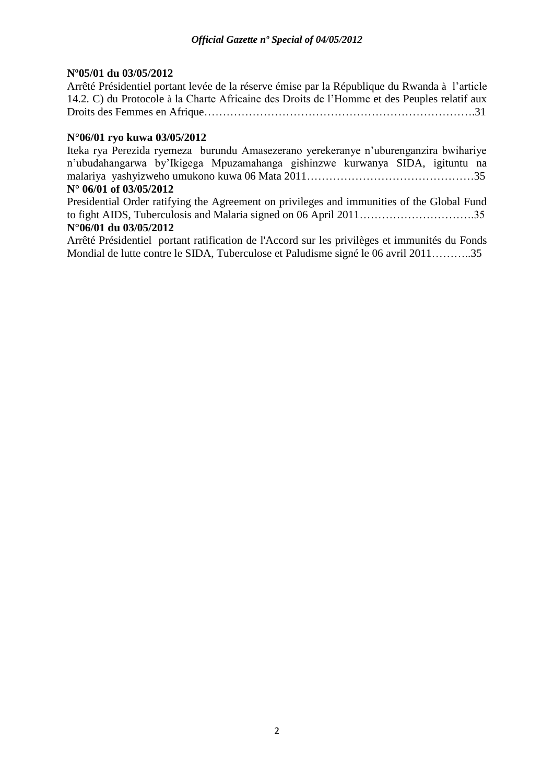# **Nº05/01 du 03/05/2012**

Arrêté Présidentiel portant levée de la réserve émise par la République du Rwanda à l"article 14.2. C) du Protocole à la Charte Africaine des Droits de l"Homme et des Peuples relatif aux Droits des Femmes en Afrique……………………………………………………………….31

# **N°06/01 ryo kuwa 03/05/2012**

Iteka rya Perezida ryemeza burundu Amasezerano yerekeranye n"uburenganzira bwihariye n"ubudahangarwa by"Ikigega Mpuzamahanga gishinzwe kurwanya SIDA, igituntu na malariya yashyizweho umukono kuwa 06 Mata 2011………………………………………35

# **N° 06/01 of 03/05/2012**

Presidential Order ratifying the Agreement on privileges and immunities of the Global Fund to fight AIDS, Tuberculosis and Malaria signed on 06 April 2011………………………….35 **N°06/01 du 03/05/2012** 

Arrêté Présidentiel portant ratification de l'Accord sur les privilèges et immunités du Fonds Mondial de lutte contre le SIDA, Tuberculose et Paludisme signé le 06 avril 2011………..35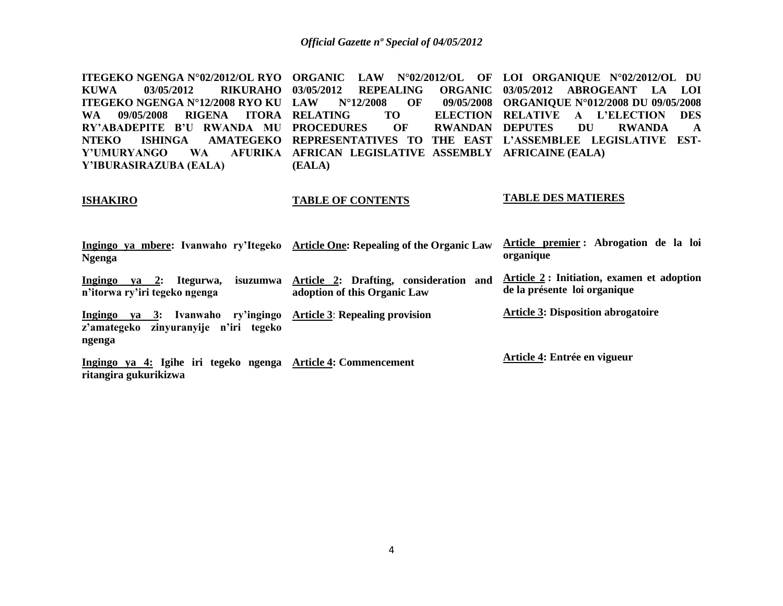**ITEGEKO NGENGA N°02/2012/OL RYO ORGANIC LAW N°02/2012/OL OF LOI ORGANIQUE N°02/2012/OL DU KUWA 03/05/2012 RIKURAHO ITEGEKO NGENGA N°12/2008 RYO KU**  WA 09/05/2008 RIGENA ITORA RELATING **RY'ABADEPITE B'U RWANDA MU PROCEDURES OF RWANDAN NTEKO ISHINGA AMATEGEKO REPRESENTATIVES TO THE EAST L'ASSEMBLEE LEGISLATIVE EST-Y'UMURYANGO WA Y'IBURASIRAZUBA (EALA)** *REPEALING* **LAW N°12/2008 OF 09/05/2008 ORGANIQUE N°012/2008 DU 09/05/2008 RELATING TO ELECTION RELATIVE A L'ELECTION DES AFRICAN LEGISLATIVE ASSEMBLY AFRICAINE (EALA) (EALA) 03/05/2012 ABROGEANT LA LOI**  RWANDAN DEPUTES DU RWANDA A

# **ISHAKIRO**

# **TABLE OF CONTENTS**

# **TABLE DES MATIERES**

| Ingingo ya mbere: Ivanwaho ry'Itegeko Article One: Repealing of the Organic Law<br><b>Ngenga</b>          |                                                                                 | Article premier: Abrogation de la loi<br>organique                        |
|-----------------------------------------------------------------------------------------------------------|---------------------------------------------------------------------------------|---------------------------------------------------------------------------|
| Ingingo ya 2:<br>Itegurwa,<br>n'itorwa ry'iri tegeko ngenga                                               | isuzumwa Article 2: Drafting, consideration and<br>adoption of this Organic Law | Article 2: Initiation, examen et adoption<br>de la présente loi organique |
| Ingingo ya 3: Ivanwaho ry'ingingo Article 3: Repealing provision<br>z'amategeko zinyuranyije n'iri tegeko |                                                                                 | <b>Article 3: Disposition abrogatoire</b>                                 |
| ngenga                                                                                                    |                                                                                 |                                                                           |
| Ingingo ya 4: Igihe iri tegeko ngenga Article 4: Commencement<br>ritangira gukurikizwa                    |                                                                                 | Article 4: Entrée en vigueur                                              |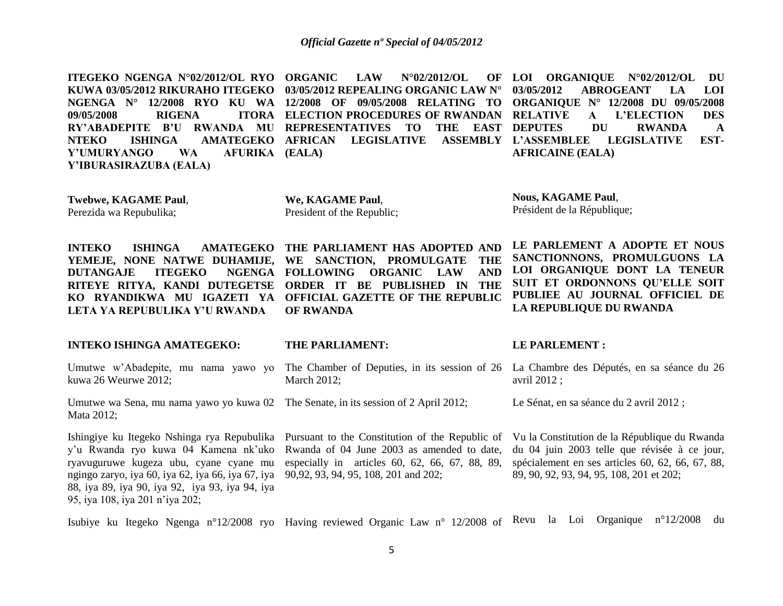**ITEGEKO NGENGA N°02/2012/OL RYO KUWA 03/05/2012 RIKURAHO ITEGEKO 03/05/2012 REPEALING ORGANIC LAW N° NGENGA N° 12/2008 RYO KU WA 12/2008 OF 09/05/2008 RELATING TO**  09/05/2008 **RIGENA RY'ABADEPITE B'U RWANDA MU REPRESENTATIVES TO THE EAST NTEKO ISHINGA AMATEGEKO AFRICAN LEGISLATIVE ASSEMBLY Y'UMURYANGO WA Y'IBURASIRAZUBA (EALA)**  $\text{LAW} = \text{N}^{\circ}02/2012/\text{OL}$ **ITORA ELECTION PROCEDURES OF RWANDAN RELATIVE (EALA) LOI ORGANIQUE N°02/2012/OL DU 03/05/2012 ABROGEANT LA LOI ORGANIQUE N° 12/2008 DU 09/05/2008 RELATIVE A L'ELECTION DES**  THE EAST DEPUTES DU RWANDA A **L'ASSEMBLEE LEGISLATIVE EST-AFRICAINE (EALA)**

**Twebwe, KAGAME Paul**, Perezida wa Repubulika;

**We, KAGAME Paul**, President of the Republic;

**Nous, KAGAME Paul**, Président de la République;

**INTEKO ISHINGA AMATEGEKO THE PARLIAMENT HAS ADOPTED AND LE PARLEMENT A ADOPTE ET NOUS SANCTIONNONS, PROMULGUONS LA LOI ORGANIQUE DONT LA TENEUR SUIT ET ORDONNONS QU'ELLE SOIT PUBLIEE AU JOURNAL OFFICIEL DE LA REPUBLIQUE DU RWANDA**

**YEMEJE, NONE NATWE DUHAMIJE, WE SANCTION, PROMULGATE THE DUTANGAJE ITEGEKO RITEYE RITYA, KANDI DUTEGETSE ORDER IT BE PUBLISHED IN THE KO RYANDIKWA MU IGAZETI YA OFFICIAL GAZETTE OF THE REPUBLIC LETA YA REPUBULIKA Y'U RWANDA FOLLOWING ORGANIC LAW AND OF RWANDA**

## **INTEKO ISHINGA AMATEGEKO:**

Umutwe w"Abadepite, mu nama yawo yo kuwa 26 Weurwe 2012;

Umutwe wa Sena, mu nama yawo yo kuwa 02 The Senate, in its session of 2 April 2012; Mata 2012;

ryavuguruwe kugeza ubu, cyane cyane mu ngingo zaryo, iya 60, iya 62, iya 66, iya 67, iya 90,92, 93, 94, 95, 108, 201 and 202; 88, iya 89, iya 90, iya 92, iya 93, iya 94, iya 95, iya 108, iya 201 n"iya 202;

**THE PARLIAMENT:**

March 2012;

Ishingiye ku Itegeko Nshinga rya Repubulika Pursuant to the Constitution of the Republic of y"u Rwanda ryo kuwa 04 Kamena nk"uko Rwanda of 04 June 2003 as amended to date, especially in articles 60, 62, 66, 67, 88, 89,

#### **LE PARLEMENT :**

The Chamber of Deputies, in its session of 26 La Chambre des Députés, en sa séance du 26 avril 2012 ;

Le Sénat, en sa séance du 2 avril 2012 ;

Vu la Constitution de la République du Rwanda du 04 juin 2003 telle que révisée à ce jour, spécialement en ses articles 60, 62, 66, 67, 88, 89, 90, 92, 93, 94, 95, 108, 201 et 202;

Isubiye ku Itegeko Ngenga n°12/2008 ryo Having reviewed Organic Law n° 12/2008 of Revu la Loi Organique n°12/2008 du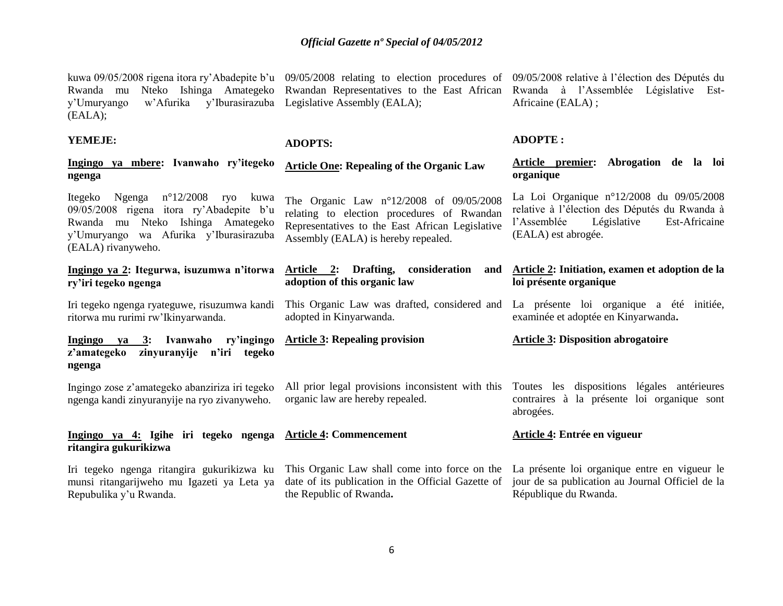y"Umuryango w"Afurika y"Iburasirazuba Legislative Assembly (EALA); (EALA);

**YEMEJE:**

**Ingingo ya mbere: Ivanwaho ry'itegeko ngenga**

Itegeko Ngenga n°12/2008 ryo kuwa 09/05/2008 rigena itora ry"Abadepite b"u Rwanda mu Nteko Ishinga Amategeko y"Umuryango wa Afurika y"Iburasirazuba (EALA) rivanyweho.

**Ingingo ya 2: Itegurwa, isuzumwa n'itorwa ry'iri tegeko ngenga**

Iri tegeko ngenga ryateguwe, risuzumwa kandi ritorwa mu rurimi rw"Ikinyarwanda.

**Ingingo ya 3: Ivanwaho ry'ingingo z'amategeko zinyuranyije n'iri tegeko ngenga**

Ingingo zose z"amategeko abanziriza iri tegeko ngenga kandi zinyuranyije na ryo zivanyweho.

#### **Ingingo ya 4: Igihe iri tegeko ngenga ritangira gukurikizwa Article 4: Commencement**

Iri tegeko ngenga ritangira gukurikizwa ku munsi ritangarijweho mu Igazeti ya Leta ya Repubulika y"u Rwanda.

# **ADOPTS:**

# **Article One: Repealing of the Organic Law**

The Organic Law n°12/2008 of 09/05/2008 relating to election procedures of Rwandan Representatives to the East African Legislative Assembly (EALA) is hereby repealed.

# **Article 2: Drafting, consideration and adoption of this organic law**

This Organic Law was drafted, considered and adopted in Kinyarwanda.

# **Article 3: Repealing provision**

the Republic of Rwanda**.**

organic law are hereby repealed.

# **Article 4: Entrée en vigueur**

This Organic Law shall come into force on the La présente loi organique entre en vigueur le date of its publication in the Official Gazette of jour de sa publication au Journal Officiel de la République du Rwanda.

kuwa 09/05/2008 rigena itora ry'Abadepite b'u 09/05/2008 relating to election procedures of 09/05/2008 relative à l'élection des Députés du Rwanda mu Nteko Ishinga Amategeko Rwandan-Representatives to the East African Rwanda à l'Assemblée Législative Est-Africaine (EALA) ;

# **ADOPTE :**

**Article premier: Abrogation de la loi organique**

La Loi Organique n°12/2008 du 09/05/2008 relative à l"élection des Députés du Rwanda à l"Assemblée Législative Est-Africaine (EALA) est abrogée.

# **Article 2: Initiation, examen et adoption de la loi présente organique**

La présente loi organique a été initiée, examinée et adoptée en Kinyarwanda**.**

**Article 3: Disposition abrogatoire** 

All prior legal provisions inconsistent with this Toutes les dispositions légales antérieures contraires à la présente loi organique sont abrogées.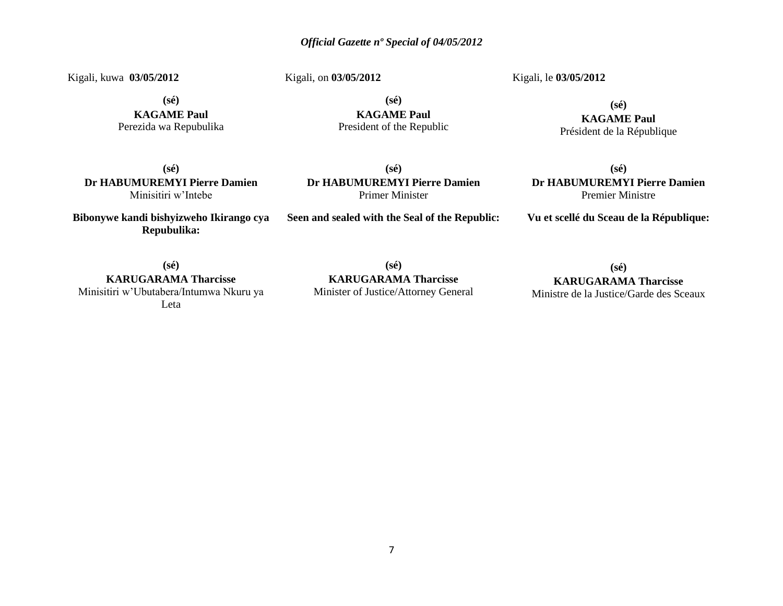Kigali, kuwa **03/05/2012** 

Kigali, on **03/05/2012** 

Kigali, le **03/05/2012** 

**(sé)**

**KAGAME Paul** Perezida wa Repubulika

**(sé) KAGAME Paul** President of the Republic

**(sé) KAGAME Paul** Président de la République

**(sé) Dr HABUMUREMYI Pierre Damien** Minisitiri w"Intebe

**Bibonywe kandi bishyizweho Ikirango cya Repubulika:**

**(sé) Dr HABUMUREMYI Pierre Damien** Primer Minister

**Seen and sealed with the Seal of the Republic:**

**(sé) Dr HABUMUREMYI Pierre Damien** Premier Ministre

**Vu et scellé du Sceau de la République:**

**(sé)**

**KARUGARAMA Tharcisse** Minisitiri w"Ubutabera/Intumwa Nkuru ya Leta

**(sé) KARUGARAMA Tharcisse** Minister of Justice/Attorney General

**(sé) KARUGARAMA Tharcisse**

Ministre de la Justice/Garde des Sceaux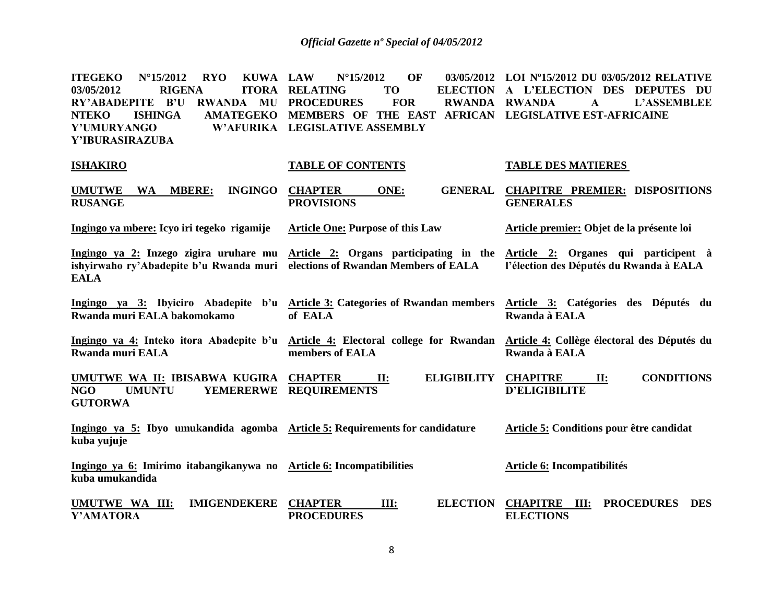| <b>ITEGEKO</b><br>$N^{\circ}15/2012$<br><b>RYO</b><br><b>KUWA LAW</b><br><b>RIGENA</b><br>03/05/2012<br><b>ITORA</b><br><b>RY'ABADEPITE</b><br><b>RWANDA MU PROCEDURES</b><br>$\mathbf{B}^{\prime}\mathbf{U}$<br><b>NTEKO</b><br><b>ISHINGA</b><br>Y'UMURYANGO<br>Y'IBURASIRAZUBA | $N^{\circ}$ 15/2012<br>OF<br><b>RELATING</b><br><b>TO</b><br><b>ELECTION</b><br><b>FOR</b><br>RWANDA RWANDA<br>AMATEGEKO MEMBERS OF THE EAST AFRICAN LEGISLATIVE EST-AFRICAINE<br>W'AFURIKA LEGISLATIVE ASSEMBLY | 03/05/2012 LOI Nº15/2012 DU 03/05/2012 RELATIVE<br>A L'ELECTION DES DEPUTES DU<br>$\mathbf{A}$<br><b>L'ASSEMBLEE</b> |
|-----------------------------------------------------------------------------------------------------------------------------------------------------------------------------------------------------------------------------------------------------------------------------------|------------------------------------------------------------------------------------------------------------------------------------------------------------------------------------------------------------------|----------------------------------------------------------------------------------------------------------------------|
| <b>ISHAKIRO</b>                                                                                                                                                                                                                                                                   | <b>TABLE OF CONTENTS</b>                                                                                                                                                                                         | <b>TABLE DES MATIERES</b>                                                                                            |
| <b>UMUTWE</b><br><b>INGINGO</b><br>WA MBERE:<br><b>RUSANGE</b>                                                                                                                                                                                                                    | <b>CHAPTER</b><br><b>GENERAL</b><br>ONE:<br><b>PROVISIONS</b>                                                                                                                                                    | <b>CHAPITRE PREMIER: DISPOSITIONS</b><br><b>GENERALES</b>                                                            |
| Ingingo ya mbere: Icyo iri tegeko rigamije                                                                                                                                                                                                                                        | <b>Article One: Purpose of this Law</b>                                                                                                                                                                          | Article premier: Objet de la présente loi                                                                            |
| ishyirwaho ry'Abadepite b'u Rwanda muri elections of Rwandan Members of EALA<br><b>EALA</b>                                                                                                                                                                                       | Ingingo ya 2: Inzego zigira uruhare mu Article 2: Organs participating in the Article 2: Organes qui participent à                                                                                               | l'élection des Députés du Rwanda à EALA                                                                              |
| Rwanda muri EALA bakomokamo                                                                                                                                                                                                                                                       | Ingingo ya 3: Ibyiciro Abadepite b'u Article 3: Categories of Rwandan members Article 3: Catégories des Députés du<br>of EALA                                                                                    | Rwanda à EALA                                                                                                        |
| <b>Rwanda muri EALA</b>                                                                                                                                                                                                                                                           | Ingingo ya 4: Inteko itora Abadepite b'u Article 4: Electoral college for Rwandan Article 4: Collège électoral des Députés du<br>members of EALA                                                                 | Rwanda à EALA                                                                                                        |
| UMUTWE WA II: IBISABWA KUGIRA CHAPTER<br><b>NGO</b><br><b>UMUNTU</b><br><b>GUTORWA</b>                                                                                                                                                                                            | <b>ELIGIBILITY</b><br>$\mathbf{H}$ :<br>YEMERERWE REQUIREMENTS                                                                                                                                                   | <b>CONDITIONS</b><br><b>CHAPITRE</b><br>II:<br><b>D'ELIGIBILITE</b>                                                  |
| Ingingo ya 5: Ibyo umukandida agomba Article 5: Requirements for candidature<br>kuba yujuje                                                                                                                                                                                       |                                                                                                                                                                                                                  | Article 5: Conditions pour être candidat                                                                             |
| Ingingo ya 6: Imirimo itabangikanywa no Article 6: Incompatibilities<br>kuba umukandida                                                                                                                                                                                           |                                                                                                                                                                                                                  | Article 6: Incompatibilités                                                                                          |
| UMUTWE WA III:<br><b>IMIGENDEKERE</b><br>Y'AMATORA                                                                                                                                                                                                                                | <b>CHAPTER</b><br><b>ELECTION</b><br>III:<br><b>PROCEDURES</b>                                                                                                                                                   | <b>CHAPITRE</b><br><b>PROCEDURES</b><br>III:<br><b>DES</b><br><b>ELECTIONS</b>                                       |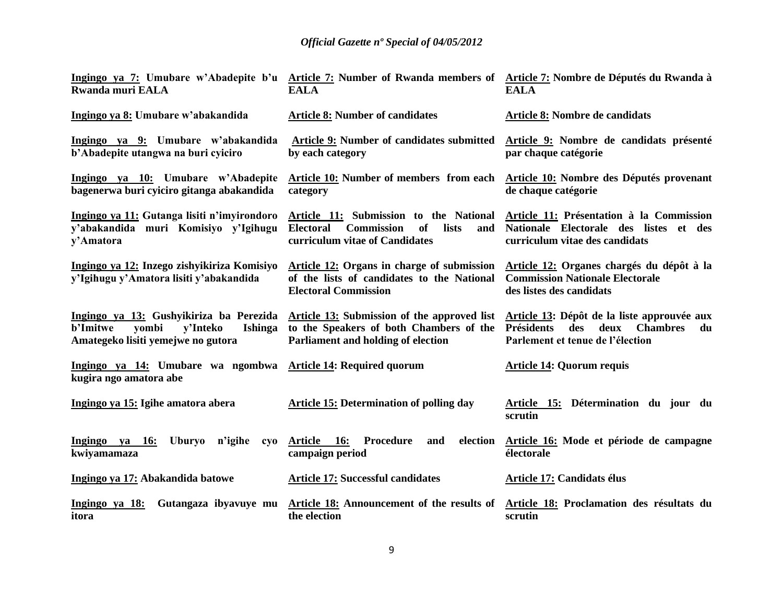| <b>Rwanda muri EALA</b>                                                                          | Ingingo ya 7: Umubare w'Abadepite b'u Article 7: Number of Rwanda members of Article 7: Nombre de Députés du Rwanda à<br><b>EALA</b>                                 | <b>EALA</b>                                                                                                                                  |
|--------------------------------------------------------------------------------------------------|----------------------------------------------------------------------------------------------------------------------------------------------------------------------|----------------------------------------------------------------------------------------------------------------------------------------------|
| Ingingo ya 8: Umubare w'abakandida                                                               | <b>Article 8: Number of candidates</b>                                                                                                                               | Article 8: Nombre de candidats                                                                                                               |
| Ingingo ya 9: Umubare w'abakandida<br>b'Abadepite utangwa na buri cyiciro                        | Article 9: Number of candidates submitted<br>by each category                                                                                                        | Article 9: Nombre de candidats présenté<br>par chaque catégorie                                                                              |
| Ingingo ya 10: Umubare w'Abadepite<br>bagenerwa buri cyiciro gitanga abakandida                  | <b>Article 10:</b> Number of members from each<br>category                                                                                                           | <b>Article 10:</b> Nombre des Députés provenant<br>de chaque catégorie                                                                       |
| Ingingo ya 11: Gutanga lisiti n'imyirondoro<br>y'abakandida muri Komisiyo y'Igihugu<br>y'Amatora | Article 11: Submission to the National<br><b>Electoral</b><br><b>Commission</b><br>of<br>lists<br>and<br>curriculum vitae of Candidates                              | Article 11: Présentation à la Commission<br>Nationale Electorale des listes et des<br>curriculum vitae des candidats                         |
| Ingingo ya 12: Inzego zishyikiriza Komisiyo<br>y'Igihugu y'Amatora lisiti y'abakandida           | Article 12: Organs in charge of submission<br>of the lists of candidates to the National<br><b>Electoral Commission</b>                                              | Article 12: Organes chargés du dépôt à la<br><b>Commission Nationale Electorale</b><br>des listes des candidats                              |
| v'Inteko<br><b>b'Imitwe</b><br>yombi<br>Ishinga<br>Amategeko lisiti yemejwe no gutora            | Ingingo ya 13: Gushyikiriza ba Perezida Article 13: Submission of the approved list<br>to the Speakers of both Chambers of the<br>Parliament and holding of election | Article 13: Dépôt de la liste approuvée aux<br><b>Chambres</b><br><b>Présidents</b><br>des<br>deux<br>du<br>Parlement et tenue de l'élection |
| Ingingo ya 14: Umubare wa ngombwa Article 14: Required quorum<br>kugira ngo amatora abe          |                                                                                                                                                                      | <b>Article 14: Quorum requis</b>                                                                                                             |
| Ingingo ya 15: Igihe amatora abera                                                               | <b>Article 15: Determination of polling day</b>                                                                                                                      | Article 15: Détermination du jour du<br>scrutin                                                                                              |
| Ingingo ya 16:<br>Uburyo n'igihe<br>cyo<br>kwiyamamaza                                           | Article 16:<br>Procedure<br>election<br>and<br>campaign period                                                                                                       | Article 16: Mode et période de campagne<br>électorale                                                                                        |
| Ingingo ya 17: Abakandida batowe                                                                 | <b>Article 17: Successful candidates</b>                                                                                                                             | <b>Article 17: Candidats élus</b>                                                                                                            |
| Ingingo ya 18:<br>itora                                                                          | Gutangaza ibyavuye mu Article 18: Announcement of the results of<br>the election                                                                                     | Article 18: Proclamation des résultats du<br>scrutin                                                                                         |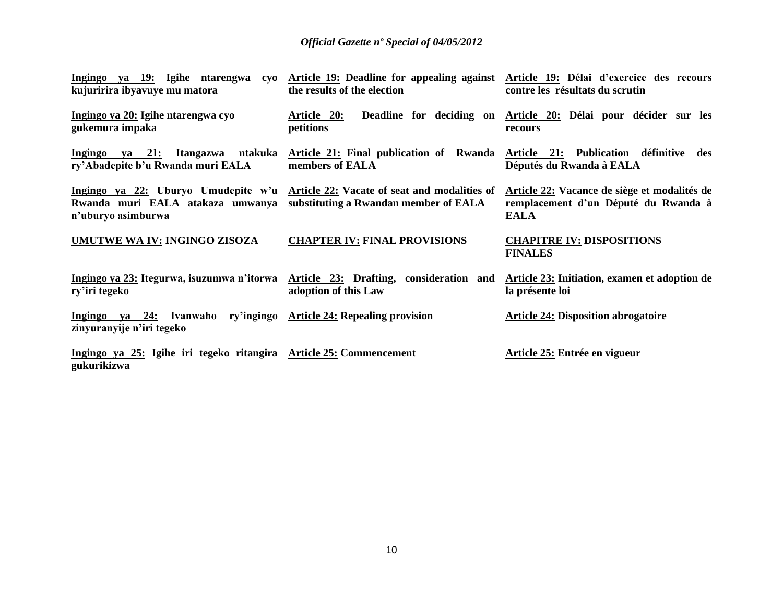| kujuririra ibyavuye mu matora                                                                   | Ingingo ya 19: Igihe ntarengwa cyo Article 19: Deadline for appealing against Article 19: Délai d'exercice des recours<br>the results of the election | contre les résultats du scrutin                                                                     |
|-------------------------------------------------------------------------------------------------|-------------------------------------------------------------------------------------------------------------------------------------------------------|-----------------------------------------------------------------------------------------------------|
| Ingingo ya 20: Igihe ntarengwa cyo<br>gukemura impaka                                           | <u>Article 20:</u><br>petitions                                                                                                                       | Deadline for deciding on Article 20: Délai pour décider sur les<br>recours                          |
| Ingingo ya 21: Itangazwa ntakuka<br>ry'Abadepite b'u Rwanda muri EALA                           | Article 21: Final publication of Rwanda Article 21: Publication définitive des<br>members of EALA                                                     | Députés du Rwanda à EALA                                                                            |
| Rwanda muri EALA atakaza umwanya substituting a Rwandan member of EALA<br>n'uburyo asimburwa    | Ingingo ya 22: Uburyo Umudepite w'u Article 22: Vacate of seat and modalities of                                                                      | Article 22: Vacance de siège et modalités de<br>remplacement d'un Député du Rwanda à<br><b>EALA</b> |
| <b>UMUTWE WA IV: INGINGO ZISOZA</b>                                                             | <b>CHAPTER IV: FINAL PROVISIONS</b>                                                                                                                   | <b>CHAPITRE IV: DISPOSITIONS</b><br><b>FINALES</b>                                                  |
| ry'iri tegeko                                                                                   | Ingingo ya 23: Itegurwa, isuzumwa n'itorwa Article 23: Drafting, consideration and<br>adoption of this Law                                            | Article 23: Initiation, examen et adoption de<br>la présente loi                                    |
| Ingingo ya 24: Ivanwaho ry'ingingo Article 24: Repealing provision<br>zinyuranyije n'iri tegeko |                                                                                                                                                       | <b>Article 24: Disposition abrogatoire</b>                                                          |
| Ingingo ya 25: Igihe iri tegeko ritangira Article 25: Commencement<br>gukurikizwa               |                                                                                                                                                       | Article 25: Entrée en vigueur                                                                       |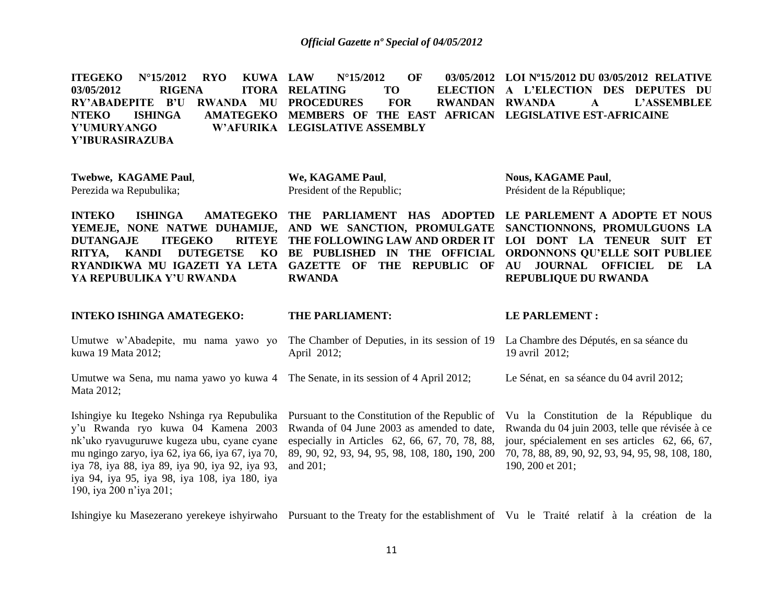|                 |  |                                     |  |                                                                               | ITEGEKO N°15/2012 RYO KUWA LAW N°15/2012 OF 03/05/2012 LOI-N°15/2012 DU-03/05/2012 RELATIVE |
|-----------------|--|-------------------------------------|--|-------------------------------------------------------------------------------|---------------------------------------------------------------------------------------------|
|                 |  | 03/05/2012 RIGENA ITORA RELATING TO |  |                                                                               | ELECTION A L'ELECTION DES DEPUTES DU                                                        |
|                 |  |                                     |  |                                                                               | RY'ABADEPITE B'U RWANDA MU PROCEDURES FOR RWANDAN RWANDA A L'ASSEMBLEE                      |
|                 |  |                                     |  | NTEKO ISHINGA AMATEGEKO MEMBERS OF THE EAST AFRICAN LEGISLATIVE EST-AFRICAINE |                                                                                             |
| Y'UMURYANGO     |  | W'AFURIKA LEGISLATIVE ASSEMBLY      |  |                                                                               |                                                                                             |
| Y'IBURASIRAZUBA |  |                                     |  |                                                                               |                                                                                             |

**Twebwe, KAGAME Paul**, Perezida wa Repubulika;

**We, KAGAME Paul**, President of the Republic; **Nous, KAGAME Paul**, Président de la République;

**INTEKO** ISHINGA AMATEGEKO THE PARLIAMENT HAS ADOPTED LE PARLEMENT A ADOPTE ET NOUS **YEMEJE, NONE NATWE DUHAMIJE, AND WE SANCTION, PROMULGATE DUTANGAJE ITEGEKO RITYA, KANDI DUTEGETSE** RYANDIKWA MU IGAZETI YA LETA GAZETTE OF THE REPUBLIC OF AU JOURNAL OFFICIEL DE LA **YA REPUBULIKA Y'U RWANDA RWANDA**

**THE FOLLOWING LAW AND ORDER IT LOI DONT LA TENEUR SUIT ET BE PUBLISHED IN THE OFFICIAL** 

**SANCTIONNONS, PROMULGUONS LA ORDONNONS QU'ELLE SOIT PUBLIEE REPUBLIQUE DU RWANDA**

# **INTEKO ISHINGA AMATEGEKO:**

#### **THE PARLIAMENT:**

#### **LE PARLEMENT :**

- Umutwe w'Abadepite, mu nama yawo yo The Chamber of Deputies, in its session of 19 La Chambre des Députés, en sa séance du kuwa 19 Mata 2012; April 2012; 19 avril 2012;
- Umutwe wa Sena, mu nama yawo yo kuwa 4 The Senate, in its session of 4 April 2012; Mata 2012; Le Sénat, en sa séance du 04 avril 2012;

Ishingiye ku Itegeko Nshinga rya Repubulika y"u Rwanda ryo kuwa 04 Kamena 2003 nk"uko ryavuguruwe kugeza ubu, cyane cyane mu ngingo zaryo, iya 62, iya 66, iya 67, iya 70, iya 78, iya 88, iya 89, iya 90, iya 92, iya 93, iya 94, iya 95, iya 98, iya 108, iya 180, iya 190, iya 200 n"iya 201;

Rwanda of 04 June 2003 as amended to date, especially in Articles 62, 66, 67, 70, 78, 88, 89, 90, 92, 93, 94, 95, 98, 108, 180**,** 190, 200 and 201;

Pursuant to the Constitution of the Republic of Vu la Constitution de la République du Rwanda du 04 juin 2003, telle que révisée à ce jour, spécialement en ses articles 62, 66, 67, 70, 78, 88, 89, 90, 92, 93, 94, 95, 98, 108, 180, 190, 200 et 201;

Ishingiye ku Masezerano yerekeye ishyirwaho Pursuant to the Treaty for the establishment of Vu le Traité relatif à la création de la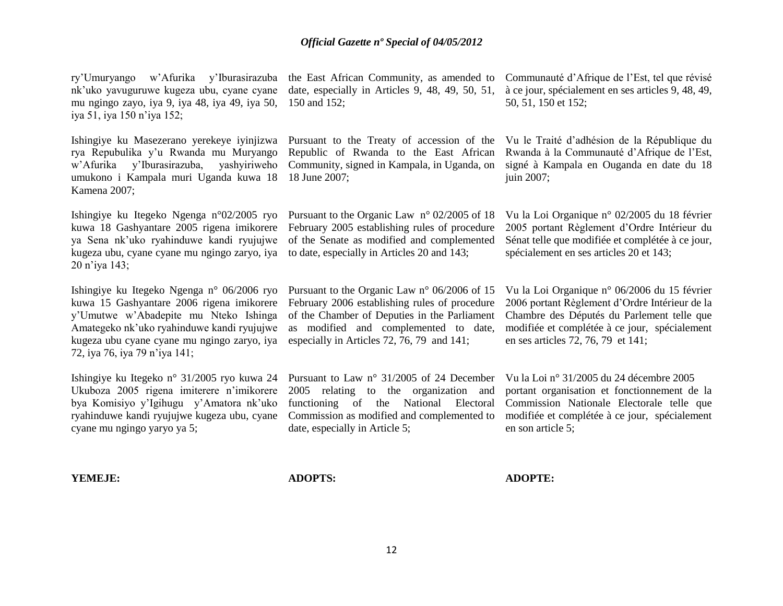ry"Umuryango w"Afurika y"Iburasirazuba nk"uko yavuguruwe kugeza ubu, cyane cyane mu ngingo zayo, iya 9, iya 48, iya 49, iya 50, iya 51, iya 150 n"iya 152; Ishingiye ku Masezerano yerekeye iyinjizwa rya Repubulika y"u Rwanda mu Muryango w"Afurika y"Iburasirazuba, yashyiriweho umukono i Kampala muri Uganda kuwa 18 Kamena 2007; Ishingiye ku Itegeko Ngenga n°02/2005 ryo Pursuant to the Organic Law n° 02/2005 of 18 kuwa 18 Gashyantare 2005 rigena imikorere February 2005 establishing rules of procedure ya Sena nk"uko ryahinduwe kandi ryujujwe of the Senate as modified and complemented kugeza ubu, cyane cyane mu ngingo zaryo, iya to date, especially in Articles 20 and 143; 20 n"iya 143; Ishingiye ku Itegeko Ngenga n° 06/2006 ryo Pursuant to the Organic Law n° 06/2006 of 15 kuwa 15 Gashyantare 2006 rigena imikorere February 2006 establishing rules of procedure y"Umutwe w"Abadepite mu Nteko Ishinga Amategeko nk"uko ryahinduwe kandi ryujujwe kugeza ubu cyane cyane mu ngingo zaryo, iya 72, iya 76, iya 79 n"iya 141; Ishingiye ku Itegeko n° 31/2005 ryo kuwa 24 Ukuboza 2005 rigena imiterere n"imikorere bya Komisiyo y"Igihugu y"Amatora nk"uko ryahinduwe kandi ryujujwe kugeza ubu, cyane cyane mu ngingo yaryo ya 5; the East African Community, as amended to date, especially in Articles 9, 48, 49, 50, 51, 150 and 152; Pursuant to the Treaty of accession of the Vu le Traité d"adhésion de la République du Republic of Rwanda to the East African Community, signed in Kampala, in Uganda, on 18 June 2007; of the Chamber of Deputies in the Parliament as modified and complemented to date, especially in Articles 72, 76, 79 and 141; Pursuant to Law n° 31/2005 of 24 December 2005 relating to the organization and functioning of the National Electoral Commission as modified and complemented to date, especially in Article 5; Communauté d"Afrique de l"Est, tel que révisé à ce jour, spécialement en ses articles 9, 48, 49, 50, 51, 150 et 152; Rwanda à la Communauté d"Afrique de l"Est, signé à Kampala en Ouganda en date du 18 juin 2007; Vu la Loi Organique n° 02/2005 du 18 février 2005 portant Règlement d"Ordre Intérieur du Sénat telle que modifiée et complétée à ce jour, spécialement en ses articles 20 et 143; Vu la Loi Organique n° 06/2006 du 15 février 2006 portant Règlement d"Ordre Intérieur de la Chambre des Députés du Parlement telle que modifiée et complétée à ce jour, spécialement en ses articles 72, 76, 79 et 141; Vu la Loi n° 31/2005 du 24 décembre 2005 portant organisation et fonctionnement de la Commission Nationale Electorale telle que modifiée et complétée à ce jour, spécialement en son article 5;

**YEMEJE:**

**ADOPTS:**

**ADOPTE:**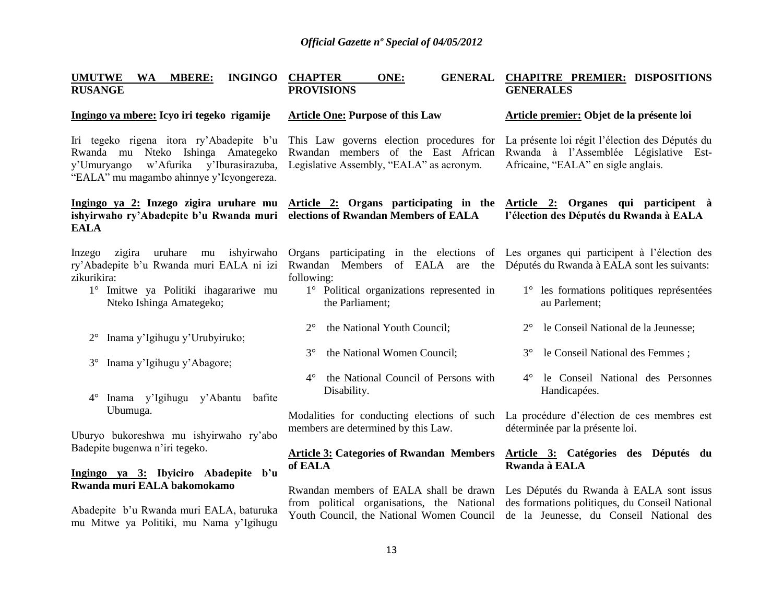| <b>UMUTWE</b><br><b>MBERE:</b><br><b>WA</b><br><b>RUSANGE</b>                                                                                                          | <b>INGINGO CHAPTER</b><br>ONE:<br><b>PROVISIONS</b>                                                                                                                                                                             | GENERAL CHAPITRE PREMIER: DISPOSITIONS<br><b>GENERALES</b>                                                                      |
|------------------------------------------------------------------------------------------------------------------------------------------------------------------------|---------------------------------------------------------------------------------------------------------------------------------------------------------------------------------------------------------------------------------|---------------------------------------------------------------------------------------------------------------------------------|
| Ingingo ya mbere: Icyo iri tegeko rigamije                                                                                                                             | <b>Article One: Purpose of this Law</b>                                                                                                                                                                                         | Article premier: Objet de la présente loi                                                                                       |
| Iri tegeko rigena itora ry'Abadepite b'u<br>Rwanda mu Nteko Ishinga Amategeko<br>w'Afurika y'Iburasirazuba,<br>y'Umuryango<br>"EALA" mu magambo ahinnye y'Icyongereza. | This Law governs election procedures for<br>Rwandan members of the East African<br>Legislative Assembly, "EALA" as acronym.                                                                                                     | La présente loi régit l'élection des Députés du<br>Rwanda à l'Assemblée Législative Est-<br>Africaine, "EALA" en sigle anglais. |
| ishyirwaho ry'Abadepite b'u Rwanda muri elections of Rwandan Members of EALA<br><b>EALA</b>                                                                            | Ingingo ya 2: Inzego zigira uruhare mu Article 2: Organs participating in the Article 2: Organes qui participent à                                                                                                              | l'élection des Députés du Rwanda à EALA                                                                                         |
| uruhare<br>mu ishyirwaho<br>Inzego zigira<br>ry'Abadepite b'u Rwanda muri EALA ni izi<br>zikurikira:<br>1° Imitwe ya Politiki ihagarariwe mu                           | Organs participating in the elections of Les organes qui participent à l'élection des<br>Rwandan Members of EALA are the Députés du Rwanda à EALA sont les suivants:<br>following:<br>1° Political organizations represented in | 1 <sup>°</sup> les formations politiques représentées                                                                           |
| Nteko Ishinga Amategeko;                                                                                                                                               | the Parliament;                                                                                                                                                                                                                 | au Parlement;                                                                                                                   |
| Inama y'Igihugu y'Urubyiruko;<br>$2^{\circ}$                                                                                                                           | $2^{\circ}$<br>the National Youth Council;                                                                                                                                                                                      | le Conseil National de la Jeunesse;                                                                                             |
| Inama y'Igihugu y'Abagore;<br>$3^\circ$                                                                                                                                | $3^\circ$<br>the National Women Council;                                                                                                                                                                                        | le Conseil National des Femmes;<br>$3^\circ$                                                                                    |
| Inama y'Igihugu y'Abantu<br>$4^\circ$<br>bafite                                                                                                                        | the National Council of Persons with<br>$4^{\circ}$<br>Disability.                                                                                                                                                              | 4° le Conseil National des Personnes<br>Handicapées.                                                                            |
| Ubumuga.<br>Uburyo bukoreshwa mu ishyirwaho ry'abo                                                                                                                     | Modalities for conducting elections of such<br>members are determined by this Law.                                                                                                                                              | La procédure d'élection de ces membres est<br>déterminée par la présente loi.                                                   |
| Badepite bugenwa n'iri tegeko.                                                                                                                                         | <b>Article 3: Categories of Rwandan Members</b><br>of EALA                                                                                                                                                                      | Article 3: Catégories des Députés du<br>Rwanda à EALA                                                                           |
| Ingingo ya 3: Ibyiciro Abadepite b'u<br>Rwanda muri EALA bakomokamo                                                                                                    | Rwandan members of EALA shall be drawn                                                                                                                                                                                          | Les Députés du Rwanda à EALA sont issus                                                                                         |
| Abadepite b'u Rwanda muri EALA, baturuka<br>mu Mitwe ya Politiki, mu Nama y'Igihugu                                                                                    | from political organisations, the National<br>Youth Council, the National Women Council                                                                                                                                         | des formations politiques, du Conseil National<br>de la Jeunesse, du Conseil National des                                       |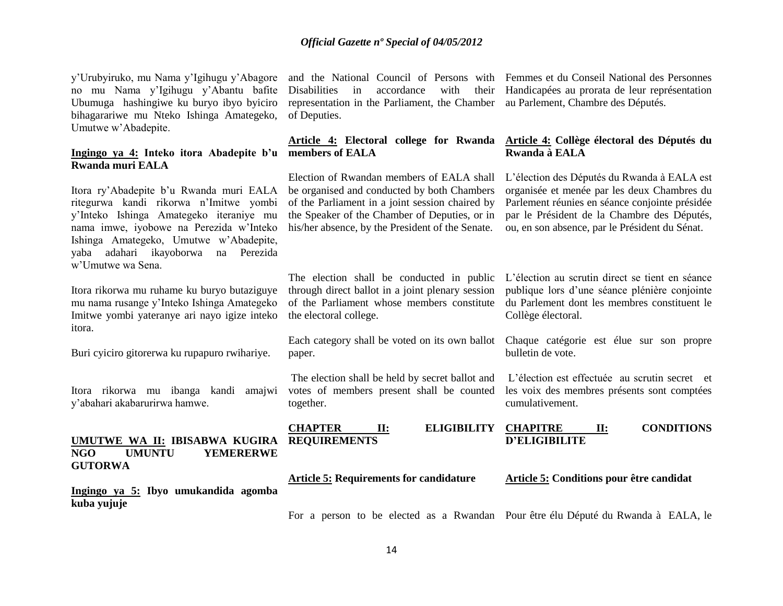y"Urubyiruko, mu Nama y"Igihugu y"Abagore no mu Nama y"Igihugu y"Abantu bafite Ubumuga hashingiwe ku buryo ibyo byiciro bihagarariwe mu Nteko Ishinga Amategeko, Umutwe w"Abadepite.

# **Ingingo ya 4: Inteko itora Abadepite b'u members of EALA Rwanda muri EALA**

Itora ry"Abadepite b"u Rwanda muri EALA ritegurwa kandi rikorwa n"Imitwe yombi y"Inteko Ishinga Amategeko iteraniye mu nama imwe, iyobowe na Perezida w"Inteko Ishinga Amategeko, Umutwe w"Abadepite, yaba adahari ikayoborwa na Perezida w"Umutwe wa Sena.

Itora rikorwa mu ruhame ku buryo butaziguye mu nama rusange y"Inteko Ishinga Amategeko Imitwe yombi yateranye ari nayo igize inteko itora.

Buri cyiciro gitorerwa ku rupapuro rwihariye.

Itora rikorwa mu ibanga kandi amajwi y"abahari akabarurirwa hamwe.

# **UMUTWE WA II: IBISABWA KUGIRA NGO UMUNTU YEMERERWE GUTORWA**

**Ingingo ya 5: Ibyo umukandida agomba kuba yujuje**

and the National Council of Persons with Femmes et du Conseil National des Personnes Disabilities in accordance with representation in the Parliament, the Chamber au Parlement, Chambre des Députés. of Deputies.

Election of Rwandan members of EALA shall be organised and conducted by both Chambers of the Parliament in a joint session chaired by the Speaker of the Chamber of Deputies, or in his/her absence, by the President of the Senate.

Handicapées au prorata de leur représentation

# **Article 4: Electoral college for Rwanda Article 4: Collège électoral des Députés du Rwanda à EALA**

L"élection des Députés du Rwanda à EALA est organisée et menée par les deux Chambres du Parlement réunies en séance conjointe présidée par le Président de la Chambre des Députés, ou, en son absence, par le Président du Sénat.

publique lors d"une séance plénière conjointe du Parlement dont les membres constituent le

Chaque catégorie est élue sur son propre

L"élection est effectuée au scrutin secret et les voix des membres présents sont comptées

Collège électoral.

bulletin de vote.

cumulativement.

The election shall be conducted in public L"élection au scrutin direct se tient en séance through direct ballot in a joint plenary session of the Parliament whose members constitute the electoral college.

Each category shall be voted on its own ballot paper.

The election shall be held by secret ballot and votes of members present shall be counted together.

**CHAPTER II: ELIGIBILITY REQUIREMENTS**

**D'ELIGIBILITE** 

**CHAPITRE II: CONDITIONS** 

# **Article 5: Requirements for candidature**

**Article 5: Conditions pour être candidat**

For a person to be elected as a Rwandan Pour être élu Député du Rwanda à EALA, le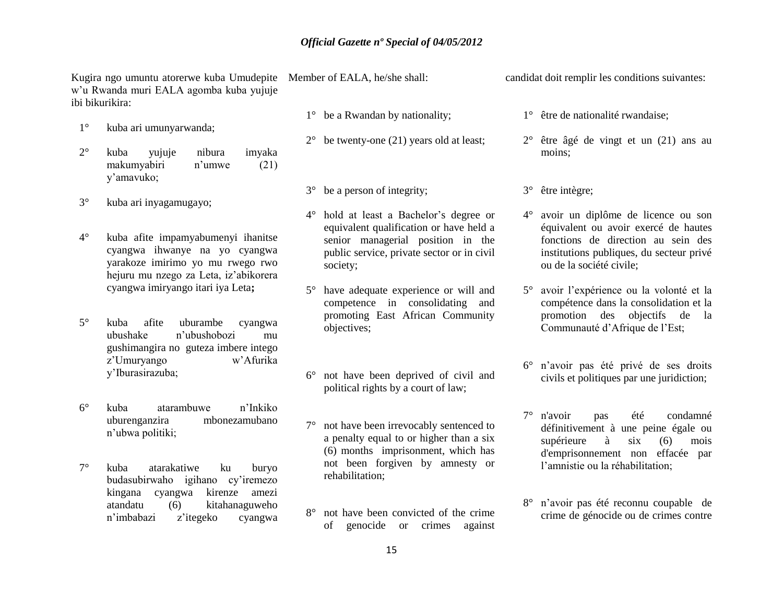Kugira ngo umuntu atorerwe kuba Umudepite Member of EALA, he/she shall: w"u Rwanda muri EALA agomba kuba yujuje ibi bikurikira:

- 1° kuba ari umunyarwanda;
- 2° kuba yujuje nibura imyaka makumyabiri n"umwe (21) y"amavuko;
- 3° kuba ari inyagamugayo;
- 4° kuba afite impamyabumenyi ihanitse cyangwa ihwanye na yo cyangwa yarakoze imirimo yo mu rwego rwo hejuru mu nzego za Leta, iz"abikorera cyangwa imiryango itari iya Leta**;**
- 5° kuba afite uburambe cyangwa ubushake n"ubushobozi mu gushimangira no guteza imbere intego z"Umuryango w"Afurika y"Iburasirazuba;
- 6° kuba atarambuwe n"Inkiko uburenganzira mbonezamubano n"ubwa politiki;
- 7° kuba atarakatiwe ku buryo budasubirwaho igihano cy"iremezo kingana cyangwa kirenze amezi atandatu (6) kitahanaguweho n"imbabazi z"itegeko cyangwa

- 1° be a Rwandan by nationality;
- $2^{\circ}$  be twenty-one (21) years old at least;
- 3° be a person of integrity;
- 4° hold at least a Bachelor"s degree or equivalent qualification or have held a senior managerial position in the public service, private sector or in civil society;
- 5° have adequate experience or will and competence in consolidating and promoting East African Community objectives;
- 6° not have been deprived of civil and political rights by a court of law;
- 7° not have been irrevocably sentenced to a penalty equal to or higher than a six (6) months imprisonment, which has not been forgiven by amnesty or rehabilitation;
- 8° not have been convicted of the crime of genocide or crimes against

candidat doit remplir les conditions suivantes:

- 1° être de nationalité rwandaise;
- 2° être âgé de vingt et un (21) ans au moins;
- 3° être intègre;
- 4° avoir un diplôme de licence ou son équivalent ou avoir exercé de hautes fonctions de direction au sein des institutions publiques, du secteur privé ou de la société civile;
- 5° avoir l"expérience ou la volonté et la compétence dans la consolidation et la promotion des objectifs de la Communauté d"Afrique de l"Est;
- 6° n"avoir pas été privé de ses droits civils et politiques par une juridiction;
- 7° n'avoir pas été condamné définitivement à une peine égale ou supérieure à six (6) mois d'emprisonnement non effacée par l"amnistie ou la réhabilitation;
- 8° n"avoir pas été reconnu coupable de crime de génocide ou de crimes contre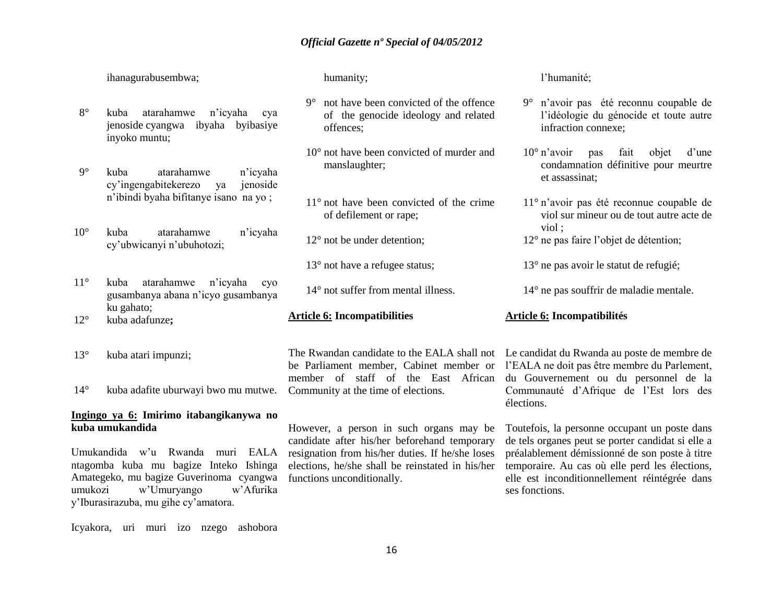ihanagurabusembwa;

- 8° kuba atarahamwe n"icyaha cya jenoside cyangwa ibyaha byibasiye inyoko muntu;
- 9° kuba atarahamwe n"icyaha cy"ingengabitekerezo ya jenoside n"ibindi byaha bifitanye isano na yo ;
- 10° kuba atarahamwe n"icyaha cy"ubwicanyi n"ubuhotozi;
- 11° kuba atarahamwe n"icyaha cyo gusambanya abana n"icyo gusambanya ku gahato;
- 12° kuba adafunze**;**
- 13° kuba atari impunzi;

14° kuba adafite uburwayi bwo mu mutwe.

# **Ingingo ya 6: Imirimo itabangikanywa no kuba umukandida**

Umukandida w"u Rwanda muri EALA ntagomba kuba mu bagize Inteko Ishinga Amategeko, mu bagize Guverinoma cyangwa umukozi w"Umuryango w"Afurika y"Iburasirazuba, mu gihe cy"amatora.

humanity;

- 9° not have been convicted of the offence of the genocide ideology and related offences;
- 10° not have been convicted of murder and manslaughter;
- 11° not have been convicted of the crime of defilement or rape;
- 12° not be under detention;
- 13<sup>°</sup> not have a refugee status;
- 14° not suffer from mental illness.
- **Article 6: Incompatibilities**

Community at the time of elections.

However, a person in such organs may be candidate after his/her beforehand temporary resignation from his/her duties. If he/she loses elections, he/she shall be reinstated in his/her functions unconditionally.

l"humanité;

- 9° n"avoir pas été reconnu coupable de l"idéologie du génocide et toute autre infraction connexe;
- 10° n"avoir pas fait objet d"une condamnation définitive pour meurtre et assassinat;
- 11° n"avoir pas été reconnue coupable de viol sur mineur ou de tout autre acte de viol ;
- 12° ne pas faire l"objet de détention;
- 13° ne pas avoir le statut de refugié;
- 14° ne pas souffrir de maladie mentale.

#### **Article 6: Incompatibilités**

The Rwandan candidate to the EALA shall not Le candidat du Rwanda au poste de membre de be Parliament member, Cabinet member or l'EALA ne doit pas être membre du Parlement, member of staff of the East African du Gouvernement ou du personnel de la Communauté d"Afrique de l"Est lors des élections.

> Toutefois, la personne occupant un poste dans de tels organes peut se porter candidat si elle a préalablement démissionné de son poste à titre temporaire. Au cas où elle perd les élections, elle est inconditionnellement réintégrée dans ses fonctions.

Icyakora, uri muri izo nzego ashobora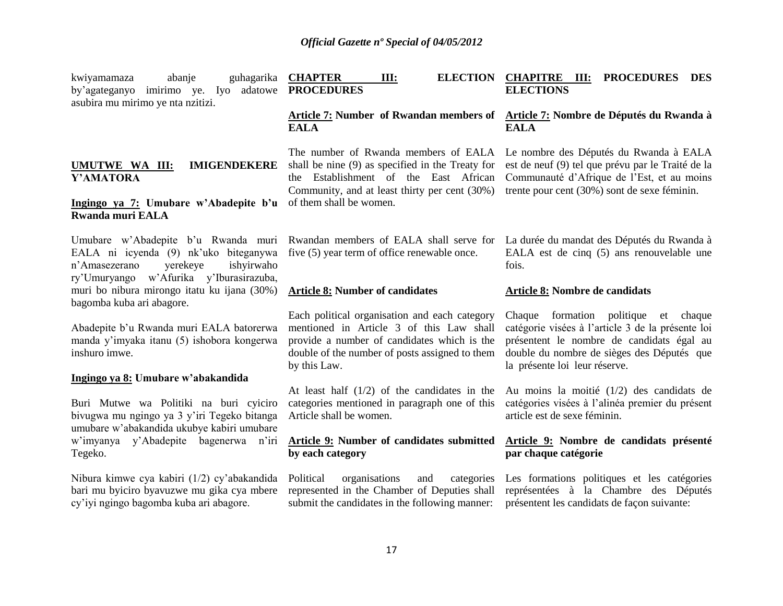| guhagarika<br>abanje<br>kwiyamamaza<br>by'agateganyo imirimo ye. Iyo adatowe <b>PROCEDURES</b><br>asubira mu mirimo ye nta nzitizi.                                | <b>CHAPTER</b><br>III:                                                                                                                                                                                     | ELECTION CHAPITRE III:<br><b>PROCEDURES DES</b><br><b>ELECTIONS</b>                                                                                                                                                      |
|--------------------------------------------------------------------------------------------------------------------------------------------------------------------|------------------------------------------------------------------------------------------------------------------------------------------------------------------------------------------------------------|--------------------------------------------------------------------------------------------------------------------------------------------------------------------------------------------------------------------------|
|                                                                                                                                                                    | Article 7: Number of Rwandan members of Article 7: Nombre de Députés du Rwanda à<br><b>EALA</b>                                                                                                            | <b>EALA</b>                                                                                                                                                                                                              |
| UMUTWE WA III:<br><b>IMIGENDEKERE</b><br>Y'AMATORA                                                                                                                 | The number of Rwanda members of EALA<br>shall be nine (9) as specified in the Treaty for<br>the Establishment of the East African<br>Community, and at least thirty per cent (30%)                         | Le nombre des Députés du Rwanda à EALA<br>est de neuf (9) tel que prévu par le Traité de la<br>Communauté d'Afrique de l'Est, et au moins<br>trente pour cent (30%) sont de sexe féminin.                                |
| Ingingo ya 7: Umubare w'Abadepite b'u<br><b>Rwanda muri EALA</b>                                                                                                   | of them shall be women.                                                                                                                                                                                    |                                                                                                                                                                                                                          |
| Umubare w'Abadepite b'u Rwanda muri<br>EALA ni icyenda (9) nk'uko biteganywa<br>n'Amasezerano<br>yerekeye<br>ishyirwaho<br>ry'Umuryango w'Afurika y'Iburasirazuba, | Rwandan members of EALA shall serve for<br>five (5) year term of office renewable once.                                                                                                                    | La durée du mandat des Députés du Rwanda à<br>EALA est de cinq (5) ans renouvelable une<br>fois.                                                                                                                         |
| muri bo nibura mirongo itatu ku ijana (30%)<br>bagomba kuba ari abagore.                                                                                           | <b>Article 8: Number of candidates</b>                                                                                                                                                                     | <b>Article 8: Nombre de candidats</b>                                                                                                                                                                                    |
| Abadepite b'u Rwanda muri EALA batorerwa<br>manda y'imyaka itanu (5) ishobora kongerwa<br>inshuro imwe.                                                            | Each political organisation and each category<br>mentioned in Article 3 of this Law shall<br>provide a number of candidates which is the<br>double of the number of posts assigned to them<br>by this Law. | formation politique et chaque<br>Chaque<br>catégorie visées à l'article 3 de la présente loi<br>présentent le nombre de candidats égal au<br>double du nombre de sièges des Députés que<br>la présente loi leur réserve. |
| Ingingo ya 8: Umubare w'abakandida                                                                                                                                 |                                                                                                                                                                                                            |                                                                                                                                                                                                                          |
| Buri Mutwe wa Politiki na buri cyiciro<br>bivugwa mu ngingo ya 3 y'iri Tegeko bitanga<br>umubare w'abakandida ukubye kabiri umubare                                | At least half $(1/2)$ of the candidates in the<br>categories mentioned in paragraph one of this<br>Article shall be women.                                                                                 | Au moins la moitié $(1/2)$ des candidats de<br>catégories visées à l'alinéa premier du présent<br>article est de sexe féminin.                                                                                           |
| w'imyanya y'Abadepite bagenerwa<br>n'iri<br>Tegeko.                                                                                                                | <b>Article 9: Number of candidates submitted</b><br>by each category                                                                                                                                       | Article 9: Nombre de candidats présenté<br>par chaque catégorie                                                                                                                                                          |
| Nibura kimwe cya kabiri (1/2) cy'abakandida<br>bari mu byiciro byavuzwe mu gika cya mbere<br>cy'iyi ngingo bagomba kuba ari abagore.                               | Political<br>organisations<br>and<br>categories<br>represented in the Chamber of Deputies shall<br>submit the candidates in the following manner:                                                          | Les formations politiques et les catégories<br>représentées à la Chambre des Députés<br>présentent les candidats de façon suivante:                                                                                      |
|                                                                                                                                                                    |                                                                                                                                                                                                            |                                                                                                                                                                                                                          |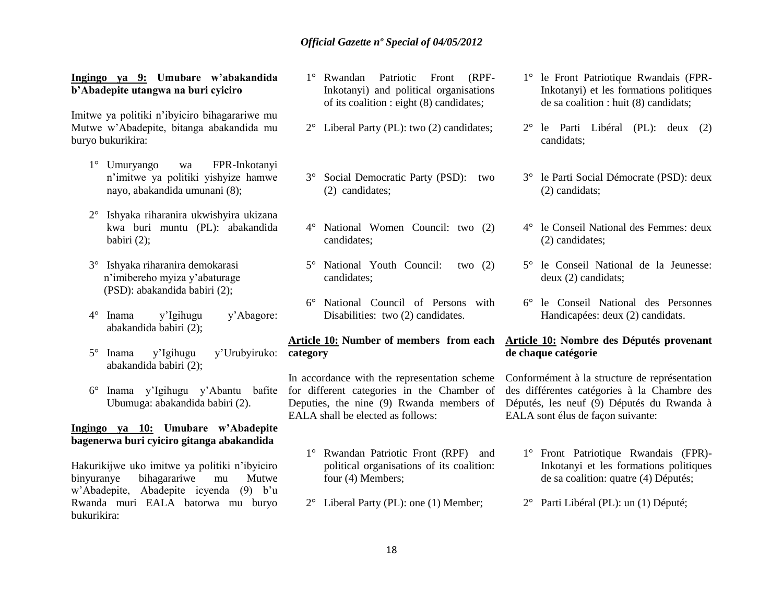# **Ingingo ya 9: Umubare w'abakandida b'Abadepite utangwa na buri cyiciro**

Imitwe ya politiki n"ibyiciro bihagarariwe mu Mutwe w"Abadepite, bitanga abakandida mu buryo bukurikira:

- 1° Umuryango wa FPR-Inkotanyi n"imitwe ya politiki yishyize hamwe nayo, abakandida umunani (8);
- 2° Ishyaka riharanira ukwishyira ukizana kwa buri muntu (PL): abakandida babiri (2);
- 3° Ishyaka riharanira demokarasi n"imibereho myiza y"abaturage (PSD): abakandida babiri (2);
- 4° Inama y"Igihugu y"Abagore: abakandida babiri (2);
- 5° Inama y"Igihugu y"Urubyiruko: **category** abakandida babiri (2);
- 6° Inama y"Igihugu y"Abantu bafite Ubumuga: abakandida babiri (2).

# **Ingingo ya 10: Umubare w'Abadepite bagenerwa buri cyiciro gitanga abakandida**

Hakurikijwe uko imitwe ya politiki n"ibyiciro binyuranye bihagarariwe mu Mutwe w"Abadepite, Abadepite icyenda (9) b"u Rwanda muri EALA batorwa mu buryo bukurikira:

- 1° Rwandan Patriotic Front (RPF-Inkotanyi) and political organisations of its coalition : eight (8) candidates;
- 2° Liberal Party (PL): two (2) candidates;
- 3° Social Democratic Party (PSD): two (2) candidates;
- 4° National Women Council: two (2) candidates;
- 5° National Youth Council: two (2) candidates;
- 6° National Council of Persons with Disabilities: two (2) candidates.

# **Article 10: Number of members from each**

In accordance with the representation scheme for different categories in the Chamber of Deputies, the nine (9) Rwanda members of EALA shall be elected as follows:

- 1° Rwandan Patriotic Front (RPF) and political organisations of its coalition: four (4) Members;
- 2° Liberal Party (PL): one (1) Member;
- 1° le Front Patriotique Rwandais (FPR-Inkotanyi) et les formations politiques de sa coalition : huit (8) candidats;
- 2° le Parti Libéral (PL): deux (2) candidats;
- 3° le Parti Social Démocrate (PSD): deux (2) candidats;
- 4° le Conseil National des Femmes: deux (2) candidates;
- 5° le Conseil National de la Jeunesse: deux (2) candidats;
- 6° le Conseil National des Personnes Handicapées: deux (2) candidats.

# **Article 10: Nombre des Députés provenant de chaque catégorie**

Conformément à la structure de représentation des différentes catégories à la Chambre des Députés, les neuf (9) Députés du Rwanda à EALA sont élus de façon suivante:

- 1° Front Patriotique Rwandais (FPR)- Inkotanyi et les formations politiques de sa coalition: quatre (4) Députés;
- 2° Parti Libéral (PL): un (1) Député;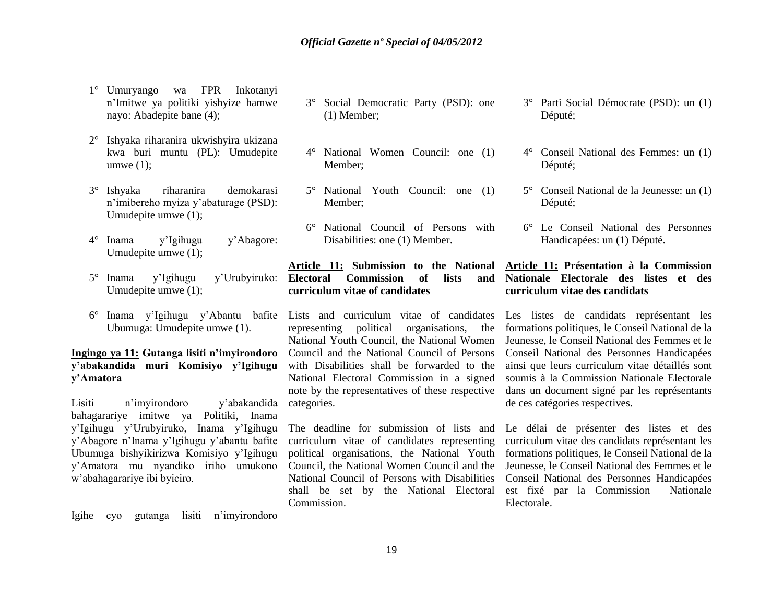- 1° Umuryango wa FPR Inkotanyi n"Imitwe ya politiki yishyize hamwe nayo: Abadepite bane (4);
- 2° Ishyaka riharanira ukwishyira ukizana kwa buri muntu (PL): Umudepite umwe  $(1)$ ;
- 3° Ishyaka riharanira demokarasi n"imibereho myiza y"abaturage (PSD): Umudepite umwe (1);
- 4° Inama y"Igihugu y"Abagore: Umudepite umwe (1);
- 5° Inama y"Igihugu y"Urubyiruko: Umudepite umwe (1);
- 6° Inama y"Igihugu y"Abantu bafite Lists and curriculum vitae of candidates Ubumuga: Umudepite umwe (1).

# **Ingingo ya 11: Gutanga lisiti n'imyirondoro y'abakandida muri Komisiyo y'Igihugu y'Amatora**

Lisiti n"imyirondoro y"abakandida bahagarariye imitwe ya Politiki, Inama y"Igihugu y"Urubyiruko, Inama y"Igihugu y"Abagore n"Inama y"Igihugu y"abantu bafite Ubumuga bishyikirizwa Komisiyo y"Igihugu y"Amatora mu nyandiko iriho umukono w"abahagarariye ibi byiciro.

Igihe cyo gutanga lisiti n"imyirondoro

- 3° Social Democratic Party (PSD): one (1) Member;
- 4° National Women Council: one (1) Member;
- 5° National Youth Council: one (1) Member;
- 6° National Council of Persons with Disabilities: one (1) Member.

# **Article 11: Submission to the National Electoral Commission of lists and curriculum vitae of candidates**

representing political organisations, the National Youth Council, the National Women Council and the National Council of Persons with Disabilities shall be forwarded to the National Electoral Commission in a signed note by the representatives of these respective categories.

The deadline for submission of lists and curriculum vitae of candidates representing political organisations, the National Youth Council, the National Women Council and the National Council of Persons with Disabilities shall be set by the National Electoral Commission.

- 3° Parti Social Démocrate (PSD): un (1) Député;
- 4° Conseil National des Femmes: un (1) Député;
- 5° Conseil National de la Jeunesse: un (1) Député;
- 6° Le Conseil National des Personnes Handicapées: un (1) Député.

# **Article 11: Présentation à la Commission Nationale Electorale des listes et des curriculum vitae des candidats**

Les listes de candidats représentant les formations politiques, le Conseil National de la Jeunesse, le Conseil National des Femmes et le Conseil National des Personnes Handicapées ainsi que leurs curriculum vitae détaillés sont soumis à la Commission Nationale Electorale dans un document signé par les représentants de ces catégories respectives.

Le délai de présenter des listes et des curriculum vitae des candidats représentant les formations politiques, le Conseil National de la Jeunesse, le Conseil National des Femmes et le Conseil National des Personnes Handicapées est fixé par la Commission Nationale Electorale.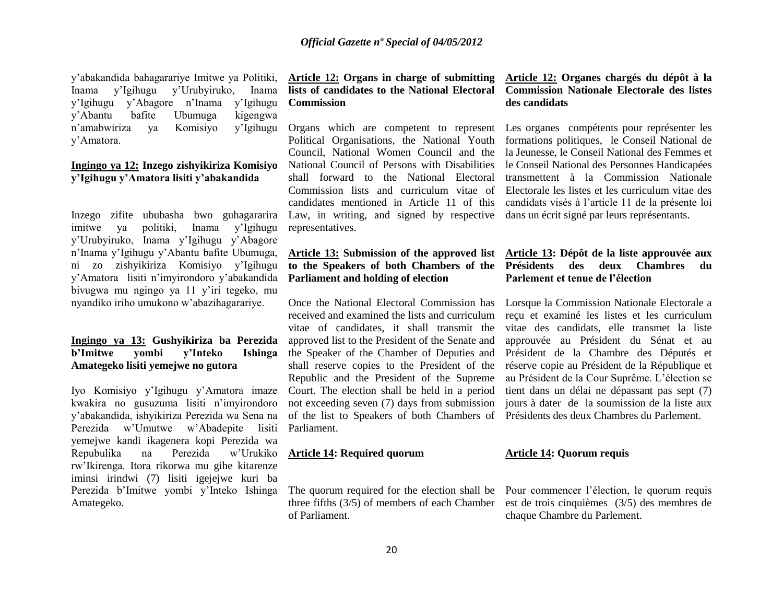y"abakandida bahagarariye Imitwe ya Politiki, Inama y"Igihugu y"Urubyiruko, Inama y"Igihugu y"Abagore n"Inama y"Igihugu y"Abantu bafite Ubumuga kigengwa n"amabwiriza ya Komisiyo y"Igihugu y"Amatora.

# **Ingingo ya 12: Inzego zishyikiriza Komisiyo y'Igihugu y'Amatora lisiti y'abakandida**

Inzego zifite ububasha bwo guhagararira imitwe ya politiki, Inama y"Igihugu y"Urubyiruko, Inama y"Igihugu y"Abagore n"Inama y"Igihugu y"Abantu bafite Ubumuga, ni zo zishyikiriza Komisiyo y"Igihugu y"Amatora lisiti n"imyirondoro y"abakandida bivugwa mu ngingo ya 11 y"iri tegeko, mu nyandiko iriho umukono w"abazihagarariye.

# **Ingingo ya 13: Gushyikiriza ba Perezida b'Imitwe yombi y'Inteko Ishinga Amategeko lisiti yemejwe no gutora**

Iyo Komisiyo y"Igihugu y"Amatora imaze kwakira no gusuzuma lisiti n"imyirondoro y"abakandida, ishyikiriza Perezida wa Sena na Perezida w"Umutwe w"Abadepite lisiti yemejwe kandi ikagenera kopi Perezida wa Repubulika na Perezida w"Urukiko rw"Ikirenga. Itora rikorwa mu gihe kitarenze iminsi irindwi (7) lisiti igejejwe kuri ba Perezida b"Imitwe yombi y"Inteko Ishinga Amategeko.

# **Article 12: Organs in charge of submitting lists of candidates to the National Electoral Commission**

Political Organisations, the National Youth Council, National Women Council and the National Council of Persons with Disabilities shall forward to the National Electoral Commission lists and curriculum vitae of candidates mentioned in Article 11 of this Law, in writing, and signed by respective dans un écrit signé par leurs représentants. representatives.

# **Parliament and holding of election**

Once the National Electoral Commission has received and examined the lists and curriculum vitae of candidates, it shall transmit the approved list to the President of the Senate and the Speaker of the Chamber of Deputies and shall reserve copies to the President of the Republic and the President of the Supreme Court. The election shall be held in a period not exceeding seven (7) days from submission of the list to Speakers of both Chambers of Parliament.

# **Article 14: Required quorum**

of Parliament.

# **Article 12: Organes chargés du dépôt à la Commission Nationale Electorale des listes des candidats**

Organs which are competent to represent Les organes compétents pour représenter les formations politiques, le Conseil National de la Jeunesse, le Conseil National des Femmes et le Conseil National des Personnes Handicapées transmettent à la Commission Nationale Electorale les listes et les curriculum vitae des candidats visés à l"article 11 de la présente loi

# **Article 13: Submission of the approved list Article 13: Dépôt de la liste approuvée aux to the Speakers of both Chambers of the Présidents des deux Chambres du Parlement et tenue de l'élection**

Lorsque la Commission Nationale Electorale a reçu et examiné les listes et les curriculum vitae des candidats, elle transmet la liste approuvée au Président du Sénat et au Président de la Chambre des Députés et réserve copie au Président de la République et au Président de la Cour Suprême. L"élection se tient dans un délai ne dépassant pas sept (7) jours à dater de la soumission de la liste aux Présidents des deux Chambres du Parlement.

## **Article 14: Quorum requis**

The quorum required for the election shall be Pour commencer l"élection, le quorum requis three fifths (3/5) of members of each Chamber est de trois cinquièmes (3/5) des membres de chaque Chambre du Parlement.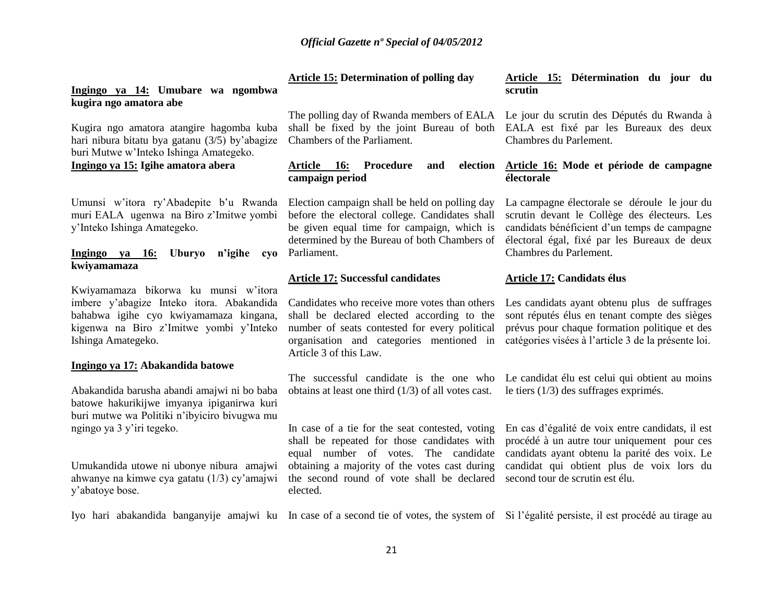**Article 15: Determination of polling day** 

# **Ingingo ya 14: Umubare wa ngombwa kugira ngo amatora abe**

Kugira ngo amatora atangire hagomba kuba hari nibura bitatu bya gatanu (3/5) by"abagize buri Mutwe w"Inteko Ishinga Amategeko.

# **Ingingo ya 15: Igihe amatora abera**

Umunsi w'itora ry'Abadepite b'u Rwanda muri EALA ugenwa na Biro z"Imitwe yombi y"Inteko Ishinga Amategeko.

# **Ingingo ya 16: Uburyo n'igihe cyo**  Parliament. **kwiyamamaza**

Kwiyamamaza bikorwa ku munsi w"itora imbere y"abagize Inteko itora. Abakandida bahabwa igihe cyo kwiyamamaza kingana, kigenwa na Biro z"Imitwe yombi y"Inteko Ishinga Amategeko.

# **Ingingo ya 17: Abakandida batowe**

1° Abakandida barusha abandi amajwi ni bo baba batowe hakurikijwe imyanya ipiganirwa kuri buri mutwe wa Politiki n"ibyiciro bivugwa mu ngingo ya 3 y"iri tegeko.

2° Umukandida utowe ni ubonye nibura amajwi ahwanye na kimwe cya gatatu (1/3) cy"amajwi y"abatoye bose.

Chambers of the Parliament.

# Article 16: Procedure and **campaign period**

Election campaign shall be held on polling day before the electoral college. Candidates shall be given equal time for campaign, which is determined by the Bureau of both Chambers of

# **Article 17: Successful candidates**

shall be declared elected according to the number of seats contested for every political organisation and categories mentioned in catégories visées à l"article 3 de la présente loi. Article 3 of this Law.

obtains at least one third (1/3) of all votes cast.

In case of a tie for the seat contested, voting shall be repeated for those candidates with equal number of votes. The candidate obtaining a majority of the votes cast during the second round of vote shall be declared second tour de scrutin est élu. elected.

# **Article 15: Détermination du jour du scrutin**

The polling day of Rwanda members of EALA Le jour du scrutin des Députés du Rwanda à shall be fixed by the joint Bureau of both EALA est fixé par les Bureaux des deux Chambres du Parlement.

# **Article 16: Mode et période de campagne électorale**

La campagne électorale se déroule le jour du scrutin devant le Collège des électeurs. Les candidats bénéficient d"un temps de campagne électoral égal, fixé par les Bureaux de deux Chambres du Parlement.

# **Article 17: Candidats élus**

Candidates who receive more votes than others Les candidats ayant obtenu plus de suffrages sont réputés élus en tenant compte des sièges prévus pour chaque formation politique et des

The successful candidate is the one who Le candidat élu est celui qui obtient au moins le tiers (1/3) des suffrages exprimés.

> En cas d"égalité de voix entre candidats, il est procédé à un autre tour uniquement pour ces candidats ayant obtenu la parité des voix. Le candidat qui obtient plus de voix lors du

Iyo hari abakandida banganyije amajwi ku In case of a second tie of votes, the system of Si l'égalité persiste, il est procédé au tirage au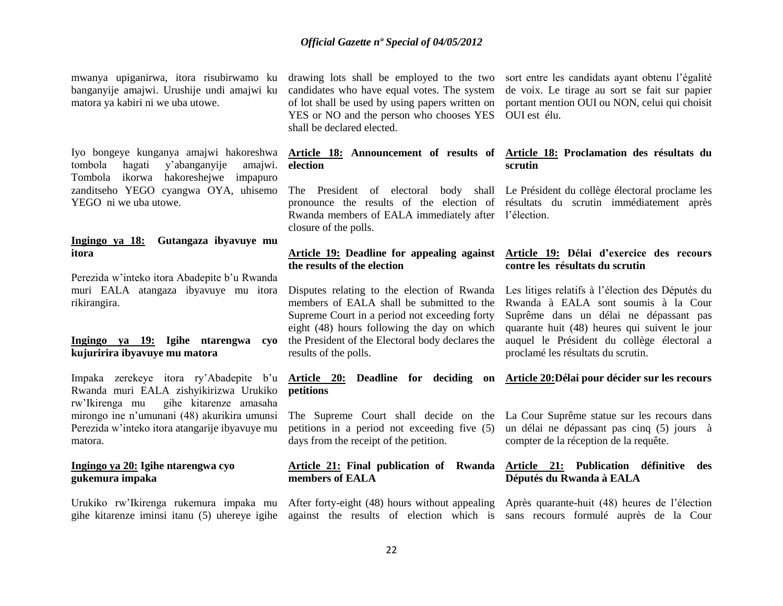mwanya upiganirwa, itora risubirwamo ku banganyije amajwi. Urushije undi amajwi ku matora ya kabiri ni we uba utowe.

4° Iyo bongeye kunganya amajwi hakoreshwa tombola hagati y"abanganyije amajwi. Tombola ikorwa hakoreshejwe impapuro zanditseho YEGO cyangwa OYA, uhisemo YEGO ni we uba utowe.

# **Ingingo ya 18: Gutangaza ibyavuye mu itora**

Perezida w"inteko itora Abadepite b"u Rwanda muri EALA atangaza ibyavuye mu itora rikirangira.

# **Ingingo ya 19: Igihe ntarengwa cyo kujuririra ibyavuye mu matora**

Impaka zerekeye itora ry'Abadepite b'u Article 20: Deadline for deciding on Article 20:Délai pour décider sur les recours Rwanda muri EALA zishyikirizwa Urukiko **petitions**  rw"Ikirenga mu gihe kitarenze amasaha mirongo ine n"umunani (48) akurikira umunsi Perezida w"inteko itora atangarije ibyavuye mu matora.

# **Ingingo ya 20: Igihe ntarengwa cyo gukemura impaka**

YES or NO and the person who chooses YES OUI est élu. shall be declared elected.

# **election**

pronounce the results of the election of résultats du scrutin immédiatement après Rwanda members of EALA immediately after l"élection. closure of the polls.

# **the results of the election**

Disputes relating to the election of Rwanda members of EALA shall be submitted to the Supreme Court in a period not exceeding forty eight (48) hours following the day on which the President of the Electoral body declares the results of the polls.

petitions in a period not exceeding five (5) days from the receipt of the petition.

# **members of EALA**

Urukiko rw"Ikirenga rukemura impaka mu After forty-eight (48) hours without appealing Après quarante-huit (48) heures de l"élection gihe kitarenze iminsi itanu (5) uhereye igihe against the results of election which is sans recours formulé auprès de la Cour

drawing lots shall be employed to the two sort entre les candidats ayant obtenu l"égalité candidates who have equal votes. The system de voix. Le tirage au sort se fait sur papier of lot shall be used by using papers written on portant mention OUI ou NON, celui qui choisit

# **Article 18: Announcement of results of Article 18: Proclamation des résultats du scrutin**

The President of electoral body shall Le Président du collège électoral proclame les

# **Article 19: Deadline for appealing against Article 19: Délai d'exercice des recours contre les résultats du scrutin**

Les litiges relatifs à l"élection des Députés du Rwanda à EALA sont soumis à la Cour Suprême dans un délai ne dépassant pas quarante huit (48) heures qui suivent le jour auquel le Président du collège électoral a proclamé les résultats du scrutin.

The Supreme Court shall decide on the La Cour Suprême statue sur les recours dans un délai ne dépassant pas cinq (5) jours à compter de la réception de la requête.

# **Article 21: Final publication of Rwanda Article 21: Publication définitive des Députés du Rwanda à EALA**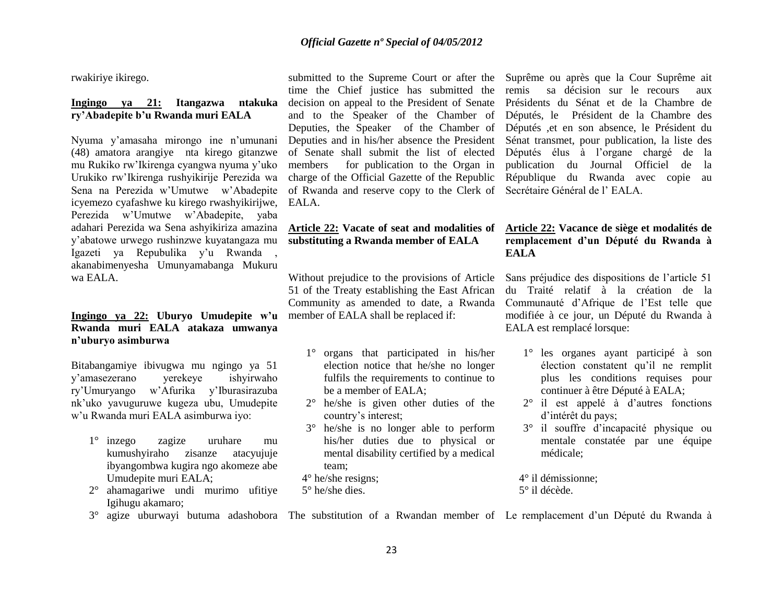rwakiriye ikirego.

# **Ingingo ya 21: Itangazwa ntakuka ry'Abadepite b'u Rwanda muri EALA**

Nyuma y"amasaha mirongo ine n"umunani (48) amatora arangiye nta kirego gitanzwe mu Rukiko rw"Ikirenga cyangwa nyuma y"uko Urukiko rw"Ikirenga rushyikirije Perezida wa Sena na Perezida w"Umutwe w"Abadepite icyemezo cyafashwe ku kirego rwashyikirijwe, EALA. Perezida w"Umutwe w"Abadepite, yaba adahari Perezida wa Sena ashyikiriza amazina y"abatowe urwego rushinzwe kuyatangaza mu Igazeti ya Repubulika y'u Rwanda akanabimenyesha Umunyamabanga Mukuru wa EALA.

# **Ingingo ya 22: Uburyo Umudepite w'u Rwanda muri EALA atakaza umwanya n'uburyo asimburwa**

Bitabangamiye ibivugwa mu ngingo ya 51 y"amasezerano yerekeye ishyirwaho ry"Umuryango w"Afurika y"Iburasirazuba nk"uko yavuguruwe kugeza ubu, Umudepite w"u Rwanda muri EALA asimburwa iyo:

- 1° inzego zagize uruhare mu kumushyiraho zisanze atacyujuje ibyangombwa kugira ngo akomeze abe Umudepite muri EALA;
- 2° ahamagariwe undi murimo ufitiye Igihugu akamaro;

submitted to the Supreme Court or after the time the Chief justice has submitted the decision on appeal to the President of Senate and to the Speaker of the Chamber of Deputies, the Speaker of the Chamber of Deputies and in his/her absence the President of Senate shall submit the list of elected members for publication to the Organ in charge of the Official Gazette of the Republic of Rwanda and reserve copy to the Clerk of

# **Article 22: Vacate of seat and modalities of substituting a Rwanda member of EALA**

Without prejudice to the provisions of Article 51 of the Treaty establishing the East African Community as amended to date, a Rwanda member of EALA shall be replaced if:

- 1° organs that participated in his/her election notice that he/she no longer fulfils the requirements to continue to be a member of EALA;
- 2° he/she is given other duties of the country's interest;
- 3° he/she is no longer able to perform his/her duties due to physical or mental disability certified by a medical team;
- 4° he/she resigns;
- 5° he/she dies.

Suprême ou après que la Cour Suprême ait remis sa décision sur le recours aux Présidents du Sénat et de la Chambre de Députés, le Président de la Chambre des Députés ,et en son absence, le Président du Sénat transmet, pour publication, la liste des Députés élus à l"organe chargé de la publication du Journal Officiel de la République du Rwanda avec copie au Secrétaire Général de l" EALA.

# **Article 22: Vacance de siège et modalités de remplacement d'un Député du Rwanda à EALA**

Sans préjudice des dispositions de l"article 51 du Traité relatif à la création de la Communauté d"Afrique de l"Est telle que modifiée à ce jour, un Député du Rwanda à EALA est remplacé lorsque:

- 1° les organes ayant participé à son élection constatent qu"il ne remplit plus les conditions requises pour continuer à être Député à EALA;
- 2° il est appelé à d"autres fonctions d"intérêt du pays;
- 3° il souffre d"incapacité physique ou mentale constatée par une équipe médicale;
- 4° il démissionne; 5° il décède.
- 3° agize uburwayi butuma adashobora The substitution of a Rwandan member of Le remplacement d"un Député du Rwanda à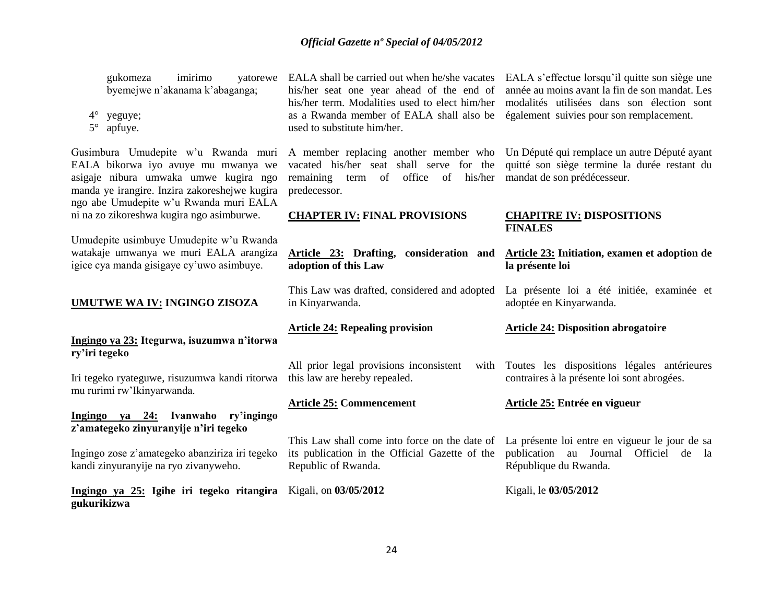gukomeza imirimo byemejwe n"akanama k"abaganga;

- 4° yeguye;
- 5° apfuye.

Gusimbura Umudepite w'u Rwanda muri EALA bikorwa iyo avuye mu mwanya we asigaje nibura umwaka umwe kugira ngo manda ye irangire. Inzira zakoreshejwe kugira ngo abe Umudepite w"u Rwanda muri EALA ni na zo zikoreshwa kugira ngo asimburwe.

Umudepite usimbuye Umudepite w"u Rwanda watakaje umwanya we muri EALA arangiza igice cya manda gisigaye cy"uwo asimbuye.

# **UMUTWE WA IV: INGINGO ZISOZA**

# **Ingingo ya 23: Itegurwa, isuzumwa n'itorwa ry'iri tegeko**

Iri tegeko ryateguwe, risuzumwa kandi ritorwa mu rurimi rw"Ikinyarwanda.

# **Ingingo ya 24: Ivanwaho ry'ingingo z'amategeko zinyuranyije n'iri tegeko**

Ingingo zose z"amategeko abanziriza iri tegeko kandi zinyuranyije na ryo zivanyweho.

**Ingingo ya 25: Igihe iri tegeko ritangira**  Kigali, on **03/05/2012 gukurikizwa**

his/her seat one year ahead of the end of his/her term. Modalities used to elect him/her modalités utilisées dans son élection sont as a Rwanda member of EALA shall also be également suivies pour son remplacement. used to substitute him/her.

remaining term of office of his/her mandat de son prédécesseur. predecessor.

# **CHAPTER IV: FINAL PROVISIONS**

**Article 23: Drafting, consideration and adoption of this Law**

This Law was drafted, considered and adopted in Kinyarwanda.

# **Article 24: Repealing provision**

All prior legal provisions inconsistent this law are hereby repealed.

# **Article 25: Commencement**

its publication in the Official Gazette of the Republic of Rwanda.

EALA shall be carried out when he/she vacates EALA s'effectue lorsqu'il quitte son siège une année au moins avant la fin de son mandat. Les

A member replacing another member who Un Député qui remplace un autre Député ayant vacated his/her seat shall serve for the quitté son siège termine la durée restant du

# **CHAPITRE IV: DISPOSITIONS FINALES**

# **Article 23: Initiation, examen et adoption de la présente loi**

La présente loi a été initiée, examinée et adoptée en Kinyarwanda.

# **Article 24: Disposition abrogatoire**

Toutes les dispositions légales antérieures contraires à la présente loi sont abrogées.

# **Article 25: Entrée en vigueur**

This Law shall come into force on the date of La présente loi entre en vigueur le jour de sa publication au Journal Officiel de la République du Rwanda.

Kigali, le **03/05/2012**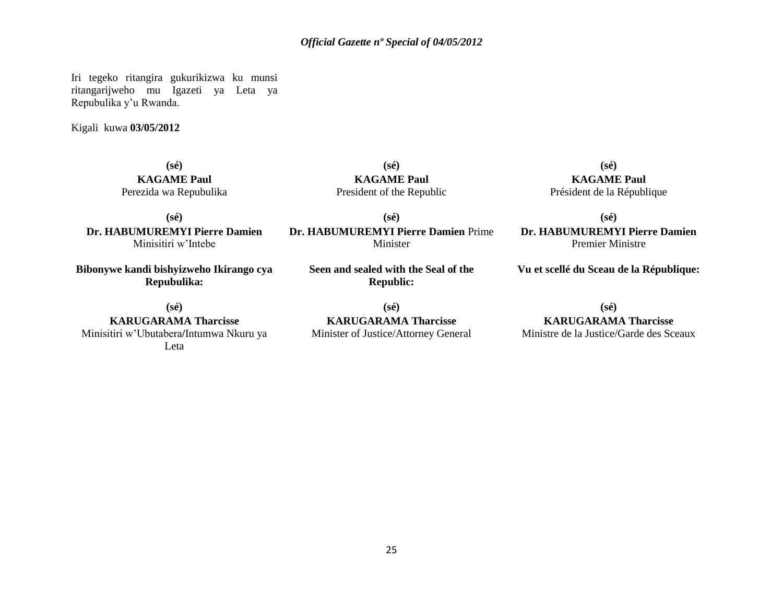Iri tegeko ritangira gukurikizwa ku munsi ritangarijweho mu Igazeti ya Leta ya Repubulika y"u Rwanda.

Kigali kuwa **03/05/2012**

**(sé) KAGAME Paul** Perezida wa Repubulika

**KAGAME Paul** President of the Republic **(sé)**

**(sé)**

**(sé) Dr. HABUMUREMYI Pierre Damien** Minisitiri w"Intebe

**Bibonywe kandi bishyizweho Ikirango cya Repubulika:**

Minister **Seen and sealed with the Seal of the** 

**Dr. HABUMUREMYI Pierre Damien** Prime

**(sé) KAGAME Paul** Président de la République

**(sé) Dr. HABUMUREMYI Pierre Damien** Premier Ministre

**Vu et scellé du Sceau de la République:**

**(sé)**

**KARUGARAMA Tharcisse** Minisitiri w"Ubutabera**/**Intumwa Nkuru ya Leta

**(sé) KARUGARAMA Tharcisse**

**Republic:**

Minister of Justice/Attorney General

# **(sé)**

**KARUGARAMA Tharcisse**

Ministre de la Justice/Garde des Sceaux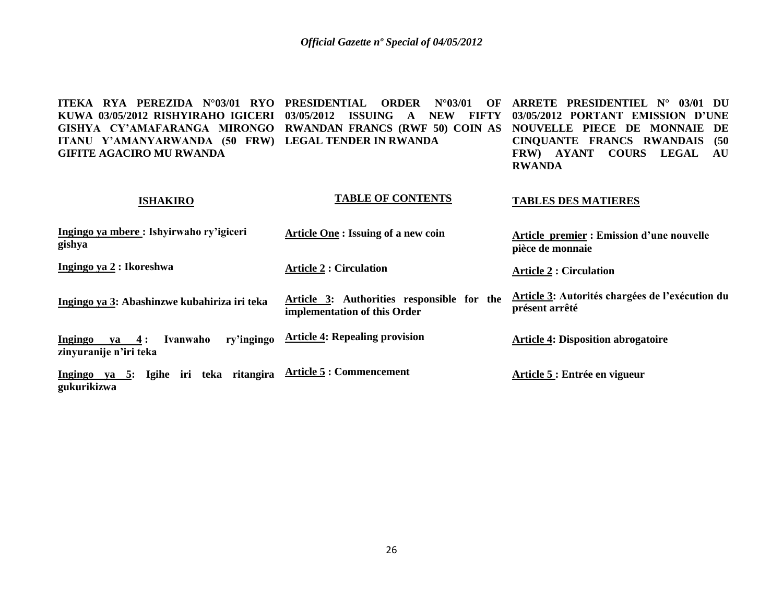| $\overline{RYA}$ PEREZIDA $N^{\circ}03/01$ RYO<br><b>ITEKA</b><br>KUWA 03/05/2012 RISHYIRAHO IGICERI<br>GISHYA CY'AMAFARANGA MIRONGO RWANDAN FRANCS (RWF 50) COIN AS<br>ITANU Y'AMANYARWANDA (50 FRW) LEGAL TENDER IN RWANDA<br><b>GIFITE AGACIRO MU RWANDA</b> | <b>PRESIDENTIAL</b><br><b>ORDER</b><br>$N^{\circ}03/01$<br>OF<br>03/05/2012<br><b>ISSUING</b><br><b>NEW</b><br><b>FIFTY</b><br>A | ARRETE PRESIDENTIEL N°<br>03/01<br>- DU<br>03/05/2012 PORTANT EMISSION D'UNE<br>NOUVELLE PIECE DE MONNAIE<br>DE<br><b>CINQUANTE FRANCS RWANDAIS</b><br>(50)<br><b>COURS</b><br><b>LEGAL</b><br>FRW) AYANT<br>AU<br><b>RWANDA</b> |
|-----------------------------------------------------------------------------------------------------------------------------------------------------------------------------------------------------------------------------------------------------------------|----------------------------------------------------------------------------------------------------------------------------------|----------------------------------------------------------------------------------------------------------------------------------------------------------------------------------------------------------------------------------|
| <b>ISHAKIRO</b>                                                                                                                                                                                                                                                 | <b>TABLE OF CONTENTS</b>                                                                                                         | <b>TABLES DES MATIERES</b>                                                                                                                                                                                                       |
| Ingingo ya mbere: Ishyirwaho ry'igiceri<br>gishya                                                                                                                                                                                                               | <b>Article One : Issuing of a new coin</b>                                                                                       | <b>Article premier: Emission d'une nouvelle</b><br>pièce de monnaie                                                                                                                                                              |
| Ingingo ya 2 : Ikoreshwa                                                                                                                                                                                                                                        | <b>Article 2: Circulation</b>                                                                                                    | <b>Article 2: Circulation</b>                                                                                                                                                                                                    |
| Ingingo ya 3: Abashinzwe kubahiriza iri teka                                                                                                                                                                                                                    | Article 3: Authorities responsible for the<br>implementation of this Order                                                       | <b>Article 3: Autorités chargées de l'exécution du</b><br>présent arrêté                                                                                                                                                         |
| ry'ingingo<br>Ingingo<br>$ya \quad 4:$<br>Ivanwaho<br>zinyuranije n'iri teka                                                                                                                                                                                    | <b>Article 4: Repealing provision</b>                                                                                            | <b>Article 4: Disposition abrogatoire</b>                                                                                                                                                                                        |
| Ingingo ya 5: Igihe iri teka ritangira<br>gukurikizwa                                                                                                                                                                                                           | <b>Article 5: Commencement</b>                                                                                                   | Article 5 : Entrée en vigueur                                                                                                                                                                                                    |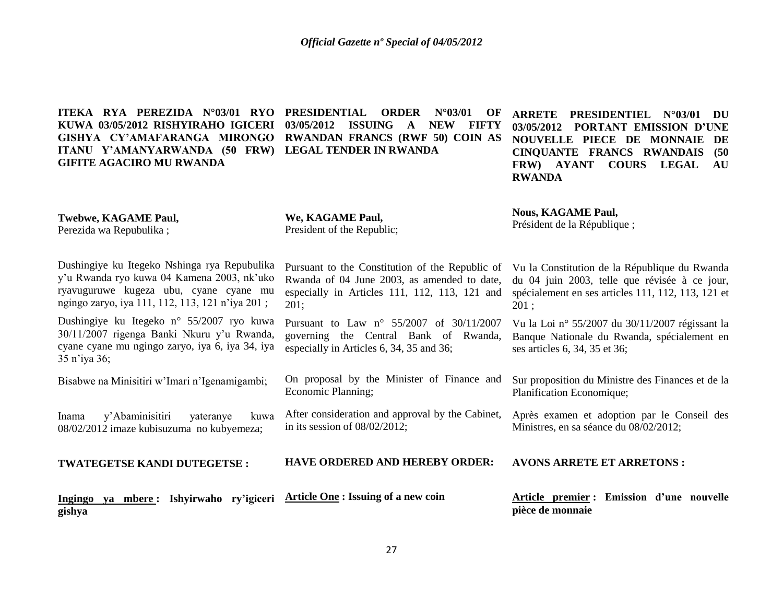**ITEKA RYA PEREZIDA N°03/01 RYO KUWA 03/05/2012 RISHYIRAHO IGICERI 03/05/2012 ISSUING A NEW FIFTY GISHYA CY'AMAFARANGA MIRONGO RWANDAN FRANCS (RWF 50) COIN AS ITANU Y'AMANYARWANDA (50 FRW) LEGAL TENDER IN RWANDA GIFITE AGACIRO MU RWANDA PRDER N°03/01 OF** 

**ARRETE PRESIDENTIEL N°03/01 DU 03/05/2012 PORTANT EMISSION D'UNE NOUVELLE PIECE DE MONNAIE DE CINQUANTE FRANCS RWANDAIS (50 FRW) AYANT COURS LEGAL AU RWANDA**

**Twebwe, KAGAME Paul,** Perezida wa Repubulika ;

**We, KAGAME Paul,** President of the Republic;

**Nous, KAGAME Paul,** Président de la République ;

Dushingiye ku Itegeko Nshinga rya Repubulika y"u Rwanda ryo kuwa 04 Kamena 2003, nk"uko ryavuguruwe kugeza ubu, cyane cyane mu ngingo zaryo, iya 111, 112, 113, 121 n"iya 201 ;

Dushingiye ku Itegeko n° 55/2007 ryo kuwa 30/11/2007 rigenga Banki Nkuru y"u Rwanda, cyane cyane mu ngingo zaryo, iya 6, iya 34, iya 35 n"iya 36;

Bisabwe na Minisitiri w"Imari n"Igenamigambi;

Inama y"Abaminisitiri yateranye kuwa 08/02/2012 imaze kubisuzuma no kubyemeza;

**TWATEGETSE KANDI DUTEGETSE :**

**Ingingo ya mbere : Ishyirwaho ry'igiceri gishya** 

Pursuant to the Constitution of the Republic of Rwanda of 04 June 2003, as amended to date, especially in Articles 111, 112, 113, 121 and 201;

Pursuant to Law n° 55/2007 of 30/11/2007 governing the Central Bank of Rwanda, especially in Articles 6, 34, 35 and 36;

On proposal by the Minister of Finance and Economic Planning;

After consideration and approval by the Cabinet, in its session of 08/02/2012;

**HAVE ORDERED AND HEREBY ORDER:**

**Article One : Issuing of a new coin** 

Vu la Constitution de la République du Rwanda du 04 juin 2003, telle que révisée à ce jour, spécialement en ses articles 111, 112, 113, 121 et 201 ;

Vu la Loi n° 55/2007 du 30/11/2007 régissant la Banque Nationale du Rwanda, spécialement en ses articles 6, 34, 35 et 36;

Sur proposition du Ministre des Finances et de la Planification Economique;

Après examen et adoption par le Conseil des Ministres, en sa séance du 08/02/2012;

### **AVONS ARRETE ET ARRETONS :**

**Article premier : Emission d'une nouvelle pièce de monnaie**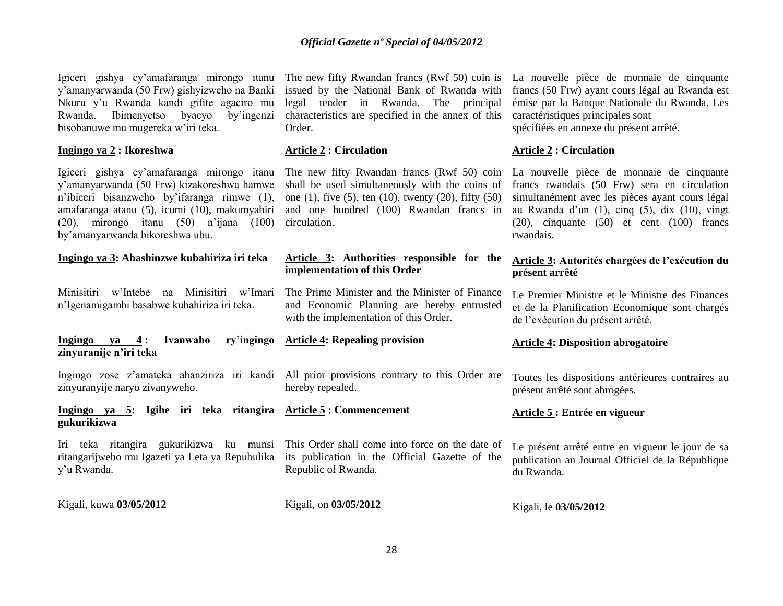shall be used simultaneously with the coins of one (1), five (5), ten (10), twenty (20), fifty (50) and one hundred (100) Rwandan francs in circulation.

**Article 3: Authorities responsible for the** 

The Prime Minister and the Minister of Finance and Economic Planning are hereby entrusted

### issued by the National Bank of Rwanda with

Order.

**Article 2 : Circulation**

**implementation of this Order**

with the implementation of this Order.

legal tender in Rwanda. The principal characteristics are specified in the annex of this

*Official Gazette nº Special of 04/05/2012*

Igiceri gishya cy'amafaranga mirongo itanu The new fifty Rwandan francs (Rwf 50) coin is La nouvelle pièce de monnaie de cinquante francs (50 Frw) ayant cours légal au Rwanda est émise par la Banque Nationale du Rwanda. Les caractéristiques principales sont spécifiées en annexe du présent arrêté.

# **Article 2 : Circulation**

La nouvelle pièce de monnaie de cinquante francs rwandais (50 Frw) sera en circulation simultanément avec les pièces ayant cours légal au Rwanda d"un (1), cinq (5), dix (10), vingt (20), cinquante (50) et cent (100) francs rwandais.

# **Article 3: Autorités chargées de l'exécution du présent arrêté**

Le Premier Ministre et le Ministre des Finances et de la Planification Economique sont chargés de l"exécution du présent arrêté.

# **Article 4: Disposition abrogatoire**

Toutes les dispositions antérieures contraires au présent arrêté sont abrogées.

# **Article 5 : Entrée en vigueur**

Le présent arrêté entre en vigueur le jour de sa publication au Journal Officiel de la République du Rwanda.

| Kigali, le 03/05/2012 |  |
|-----------------------|--|
|                       |  |

y"amanyarwanda (50 Frw) gishyizweho na Banki Nkuru y"u Rwanda kandi gifite agaciro mu Rwanda. Ibimenyetso byacyo by"ingenzi bisobanuwe mu mugereka w"iri teka.

# **Ingingo ya 2 : Ikoreshwa**

Igiceri gishya cy"amafaranga mirongo itanu The new fifty Rwandan francs (Rwf 50) coin y"amanyarwanda (50 Frw) kizakoreshwa hamwe n"ibiceri bisanzweho by"ifaranga rimwe (1), amafaranga atanu (5), icumi (10), makumyabiri (20), mirongo itanu (50) n"ijana (100) by"amanyarwanda bikoreshwa ubu.

# **Ingingo ya 3: Abashinzwe kubahiriza iri teka**

Minisitiri w"Intebe na Minisitiri w"Imari n"Igenamigambi basabwe kubahiriza iri teka.

#### **Ingingo ya 4: Ivanwaho zinyuranije n'iri teka Article 4: Repealing provision**

Ingingo zose z"amateka abanziriza iri kandi All prior provisions contrary to this Order are zinyuranyije naryo zivanyweho.

**Ingingo ya 5: Igihe iri teka ritangira Article 5 : Commencement gukurikizwa**

Iri teka ritangira gukurikizwa ku munsi This Order shall come into force on the date of ritangarijweho mu Igazeti ya Leta ya Repubulika y"u Rwanda.

Kigali, kuwa **03/05/2012** 

Kigali, on **03/05/2012** 

Republic of Rwanda.

hereby repealed.

its publication in the Official Gazette of the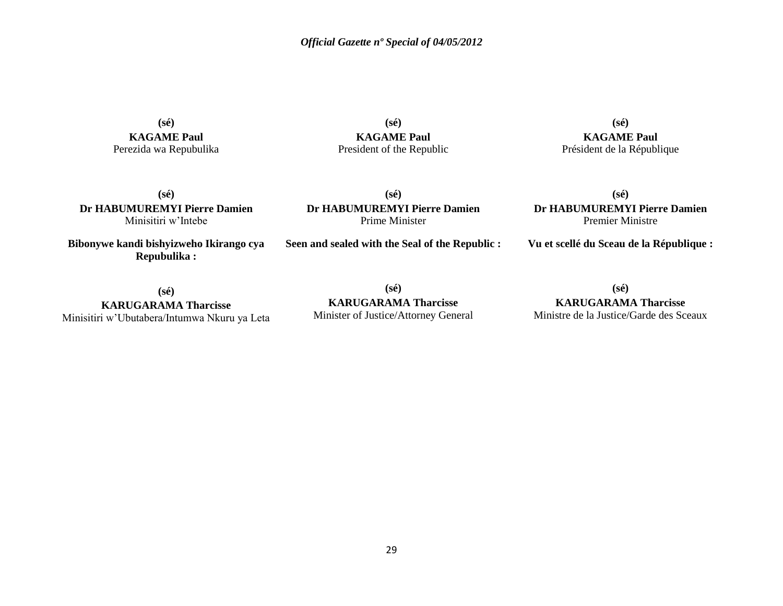**(sé) KAGAME Paul** Perezida wa Repubulika

**(sé) KAGAME Paul** President of the Republic

**(sé) KAGAME Paul** Président de la République

**(sé) Dr HABUMUREMYI Pierre Damien** Premier Ministre

**Vu et scellé du Sceau de la République :**

**(sé) Dr HABUMUREMYI Pierre Damien** Minisitiri w"Intebe

**Bibonywe kandi bishyizweho Ikirango cya Repubulika :**

**(sé) KARUGARAMA Tharcisse** Minisitiri w"Ubutabera/Intumwa Nkuru ya Leta **Dr HABUMUREMYI Pierre Damien** Prime Minister

**(sé)**

**Seen and sealed with the Seal of the Republic :**

**(sé)**

**KARUGARAMA Tharcisse** Ministre de la Justice/Garde des Sceaux

**(sé) KARUGARAMA Tharcisse** Minister of Justice/Attorney General

29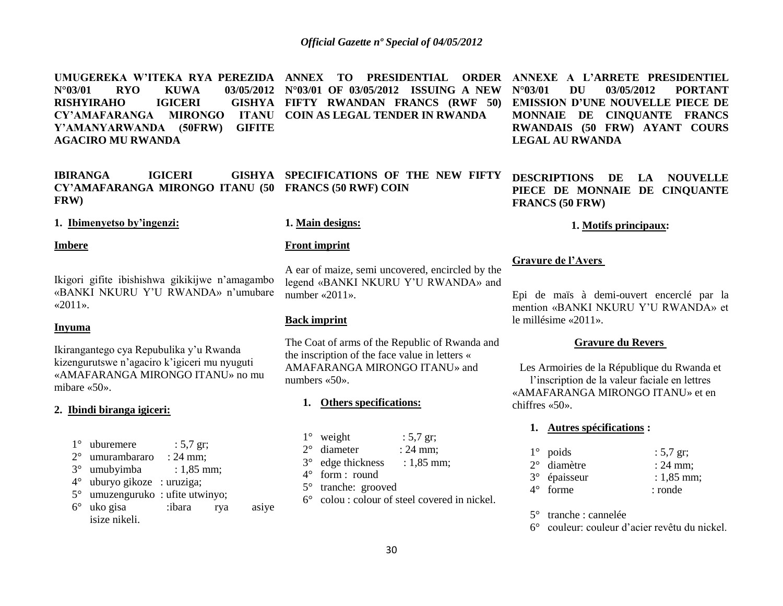UMUGEREKA W'ITEKA RYA PEREZIDA ANNEX TO PRESIDENTIAL ORDER ANNEXE A L'ARRETE PRESIDENTIEL **N°03/01 RYO KUWA 03/05/2012 N°03/01 OF 03/05/2012 ISSUING A NEW RISHYIRAHO IGICERI CY'AMAFARANGA MIRONGO ITANU COIN AS LEGAL TENDER IN RWANDA Y'AMANYARWANDA (50FRW) GIFITE AGACIRO MU RWANDA FIFTY RWANDAN FRANCS (RWF 50)** 

**IBIRANGA IGICERI CY'AMAFARANGA MIRONGO ITANU (50 FRANCS (50 RWF) COIN FRW) SPECIFICATIONS OF THE NEW FIFTY** 

**1. Ibimenyetso by'ingenzi:**

### **Imbere**

Ikigori gifite ibishishwa gikikijwe n"amagambo «BANKI NKURU Y"U RWANDA» n"umubare  $\ll 2011$ ».

# **Inyuma**

Ikirangantego cya Repubulika y"u Rwanda kizengurutswe n"agaciro k"igiceri mu nyuguti «AMAFARANGA MIRONGO ITANU» no mu mibare «50».

# **2. Ibindi biranga igiceri:**

- $1^{\circ}$  uburemere : 5,7 gr; 2° umurambararo : 24 mm; 3° umubyimba : 1,85 mm;
- 4° uburyo gikoze : uruziga;
- 5° umuzenguruko : ufite utwinyo;
- 6° uko gisa :ibara rya asiye isize nikeli.

### **1. Main designs:**

#### **Front imprint**

A ear of maize, semi uncovered, encircled by the legend «BANKI NKURU Y"U RWANDA» and number «2011».

# **Back imprint**

The Coat of arms of the Republic of Rwanda and the inscription of the face value in letters « AMAFARANGA MIRONGO ITANU» and numbers «50».

# **1. Others specifications:**

| $1^\circ$ weight     | : $5,7$ gr;         |
|----------------------|---------------------|
| $2^{\circ}$ diameter | $: 24 \text{ mm}$ ; |
| 3° edge thickness    | : $1,85$ mm;        |

4° form : round

- 5° tranche: grooved
- 6° colou : colour of steel covered in nickel.

# **N°03/01 DU 03/05/2012 PORTANT EMISSION D'UNE NOUVELLE PIECE DE MONNAIE DE CINQUANTE FRANCS RWANDAIS (50 FRW) AYANT COURS LEGAL AU RWANDA**

**DESCRIPTIONS DE LA NOUVELLE PIECE DE MONNAIE DE CINQUANTE FRANCS (50 FRW)**

# **1. Motifs principaux:**

# **Gravure de l'Avers**

Epi de maïs à demi-ouvert encerclé par la mention «BANKI NKURU Y"U RWANDA» et le millésime «2011».

# **Gravure du Revers**

Les Armoiries de la République du Rwanda et l"inscription de la valeur faciale en lettres «AMAFARANGA MIRONGO ITANU» et en chiffres «50».

# **1. Autres spécifications :**

| $1^\circ$ poids          | : $5,7$ gr;  |
|--------------------------|--------------|
| $2^{\circ}$ diamètre     | $: 24$ mm;   |
| 3 <sup>°</sup> épaisseur | $: 1,85$ mm; |
| $4^{\circ}$ forme        | : ronde      |

5° tranche : cannelée

6° couleur: couleur d"acier revêtu du nickel.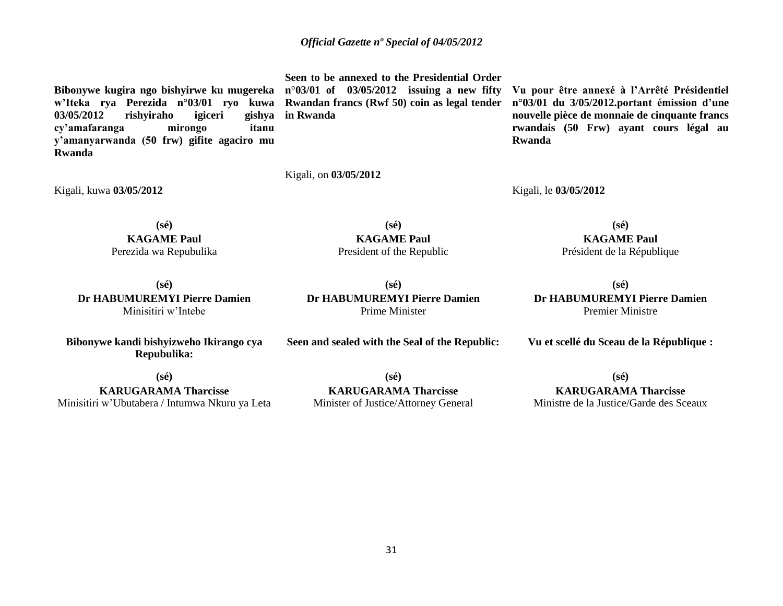**Bibonywe kugira ngo bishyirwe ku mugereka n°03/01 of 03/05/2012 issuing a new fifty w'Iteka rya Perezida n°03/01 ryo kuwa Rwandan francs (Rwf 50) coin as legal tender**  03/05/2012 rishyiraho igiceri **cy'amafaranga mirongo itanu y'amanyarwanda (50 frw) gifite agaciro mu Rwanda**

**Seen to be annexed to the Presidential Order in Rwanda**

Kigali, on **03/05/2012** 

**Vu pour être annexé à l'Arrêté Présidentiel n°03/01 du 3/05/2012.portant émission d'une nouvelle pièce de monnaie de cinquante francs rwandais (50 Frw) ayant cours légal au Rwanda**

Kigali, le **03/05/2012** 

**(sé) KAGAME Paul** Perezida wa Repubulika

Kigali, kuwa **03/05/2012** 

**(sé) Dr HABUMUREMYI Pierre Damien** Minisitiri w"Intebe

**Bibonywe kandi bishyizweho Ikirango cya Repubulika:**

**(sé) Dr HABUMUREMYI Pierre Damien** Prime Minister

**(sé) KAGAME Paul** President of the Republic

> **(sé) Dr HABUMUREMYI Pierre Damien** Premier Ministre

**(sé) KAGAME Paul** Président de la République

**Vu et scellé du Sceau de la République :**

**(sé)**

**KARUGARAMA Tharcisse** Minisitiri w"Ubutabera / Intumwa Nkuru ya Leta

**(sé) KARUGARAMA Tharcisse** Minister of Justice/Attorney General

**Seen and sealed with the Seal of the Republic:**

**(sé) KARUGARAMA Tharcisse** Ministre de la Justice/Garde des Sceaux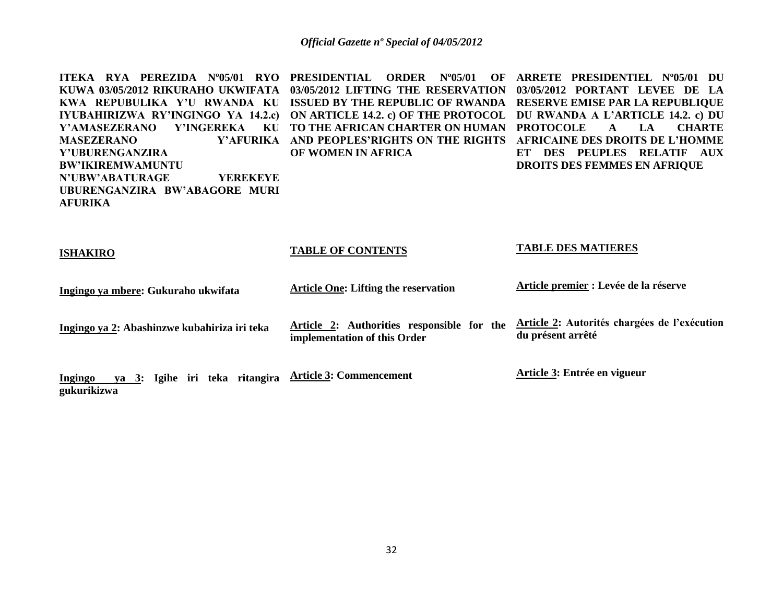| ITEKA RYA PEREZIDA N°05/01 RYO<br>KUWA 03/05/2012 RIKURAHO UKWIFATA<br>KWA REPUBULIKA Y'U RWANDA KU<br>IYUBAHIRIZWA RY'INGINGO YA 14.2.c)<br>Y'INGEREKA<br><b>Y'AMASEZERANO</b><br>KU<br><b>MASEZERANO</b><br>Y'AFURIKA<br>Y'UBURENGANZIRA<br><b>BW'IKIREMWAMUNTU</b><br><b>N'UBW'ABATURAGE</b><br><b>YEREKEYE</b><br>UBURENGANZIRA BW'ABAGORE MURI<br><b>AFURIKA</b> | <b>PRESIDENTIAL</b><br><b>ORDER</b><br>$N^{\circ}05/01$<br>OF<br>03/05/2012 LIFTING THE RESERVATION<br><b>ISSUED BY THE REPUBLIC OF RWANDA</b><br>ON ARTICLE 14.2. c) OF THE PROTOCOL<br><b>TO THE AFRICAN CHARTER ON HUMAN</b><br>AND PEOPLES'RIGHTS ON THE RIGHTS<br>OF WOMEN IN AFRICA | ARRETE PRESIDENTIEL N°05/01 DU<br>03/05/2012 PORTANT LEVEE DE LA<br>RESERVE EMISE PAR LA REPUBLIQUE<br>DU RWANDA A L'ARTICLE 14.2. c) DU<br><b>PROTOCOLE</b><br>$L_{\rm A}$<br><b>CHARTE</b><br>$\mathbf{A}$<br><b>AFRICAINE DES DROITS DE L'HOMME</b><br>DES PEUPLES RELATIF<br>ET<br>AUX<br><b>DROITS DES FEMMES EN AFRIQUE</b> |
|-----------------------------------------------------------------------------------------------------------------------------------------------------------------------------------------------------------------------------------------------------------------------------------------------------------------------------------------------------------------------|-------------------------------------------------------------------------------------------------------------------------------------------------------------------------------------------------------------------------------------------------------------------------------------------|-----------------------------------------------------------------------------------------------------------------------------------------------------------------------------------------------------------------------------------------------------------------------------------------------------------------------------------|
| <b>ISHAKIRO</b>                                                                                                                                                                                                                                                                                                                                                       | <b>TABLE OF CONTENTS</b>                                                                                                                                                                                                                                                                  | <b>TABLE DES MATIERES</b>                                                                                                                                                                                                                                                                                                         |
| Ingingo ya mbere: Gukuraho ukwifata                                                                                                                                                                                                                                                                                                                                   | <b>Article One: Lifting the reservation</b>                                                                                                                                                                                                                                               | Article premier : Levée de la réserve                                                                                                                                                                                                                                                                                             |
| Ingingo ya 2: Abashinzwe kubahiriza iri teka                                                                                                                                                                                                                                                                                                                          | Article 2: Authorities responsible for the<br>implementation of this Order                                                                                                                                                                                                                | Article 2: Autorités chargées de l'exécution<br>du présent arrêté                                                                                                                                                                                                                                                                 |
| ya 3: Igihe iri teka ritangira<br>Ingingo<br>gukurikizwa                                                                                                                                                                                                                                                                                                              | <b>Article 3: Commencement</b>                                                                                                                                                                                                                                                            | Article 3: Entrée en vigueur                                                                                                                                                                                                                                                                                                      |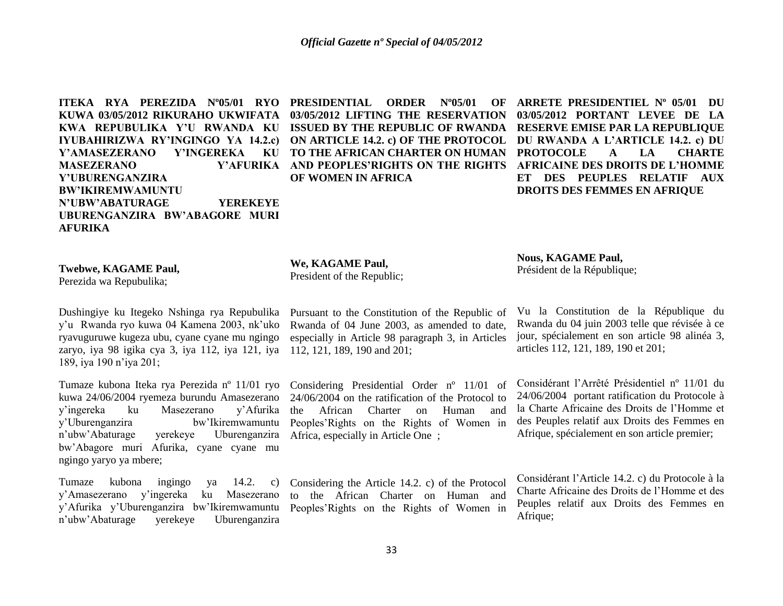**ITEKA RYA PEREZIDA Nº05/01 RYO KUWA 03/05/2012 RIKURAHO UKWIFATA KWA REPUBULIKA Y'U RWANDA KU IYUBAHIRIZWA RY'INGINGO YA 14.2.c) ON ARTICLE 14.2. c) OF THE PROTOCOL DU RWANDA A L'ARTICLE 14.2. c) DU Y'AMASEZERANO Y'INGEREKA MASEZERANO Y'UBURENGANZIRA BW'IKIREMWAMUNTU N'UBW'ABATURAGE YEREKEYE UBURENGANZIRA BW'ABAGORE MURI AFURIKA** 

**PRESIDENTIAL ORDER Nº05/01 OF 03/05/2012 LIFTING THE RESERVATION ISSUED BY THE REPUBLIC OF RWANDA RESERVE EMISE PAR LA REPUBLIQUE TO THE AFRICAN CHARTER ON HUMAN AND PEOPLES'RIGHTS ON THE RIGHTS AFRICAINE DES DROITS DE L'HOMME OF WOMEN IN AFRICA** 

**ARRETE PRESIDENTIEL Nº 05/01 DU 03/05/2012 PORTANT LEVEE DE LA PROTOCOLE A LA CHARTE ET DES PEUPLES RELATIF AUX DROITS DES FEMMES EN AFRIQUE** 

**Twebwe, KAGAME Paul,**

Perezida wa Repubulika;

Dushingiye ku Itegeko Nshinga rya Repubulika y"u Rwanda ryo kuwa 04 Kamena 2003, nk"uko ryavuguruwe kugeza ubu, cyane cyane mu ngingo zaryo, iya 98 igika cya 3, iya 112, iya 121, iya 112, 121, 189, 190 and 201; 189, iya 190 n"iya 201;

Tumaze kubona Iteka rya Perezida nº 11/01 ryo kuwa 24/06/2004 ryemeza burundu Amasezerano y"ingereka ku Masezerano y"Afurika y"Uburenganzira bw"Ikiremwamuntu n"ubw"Abaturage yerekeye Uburenganzira bw"Abagore muri Afurika, cyane cyane mu ngingo yaryo ya mbere;

Tumaze kubona ingingo ya 14.2. y"Amasezerano y"ingereka ku Masezerano y"Afurika y"Uburenganzira bw"Ikiremwamuntu Peoples"Rights on the Rights of Women in n"ubw"Abaturage yerekeye Uburenganzira

**We, KAGAME Paul,** President of the Republic;

Pursuant to the Constitution of the Republic of Rwanda of 04 June 2003, as amended to date, especially in Article 98 paragraph 3, in Articles

Considering Presidential Order nº 11/01 of 24/06/2004 on the ratification of the Protocol to the African Charter on Human and Peoples"Rights on the Rights of Women in Africa, especially in Article One;

Considering the Article 14.2. c) of the Protocol to the African Charter on Human and **Nous, KAGAME Paul,** Président de la République;

Vu la Constitution de la République du Rwanda du 04 juin 2003 telle que révisée à ce jour, spécialement en son article 98 alinéa 3, articles 112, 121, 189, 190 et 201;

Considérant l"Arrêté Présidentiel nº 11/01 du 24/06/2004 portant ratification du Protocole à la Charte Africaine des Droits de l"Homme et des Peuples relatif aux Droits des Femmes en Afrique, spécialement en son article premier;

Considérant l"Article 14.2. c) du Protocole à la Charte Africaine des Droits de l"Homme et des Peuples relatif aux Droits des Femmes en Afrique;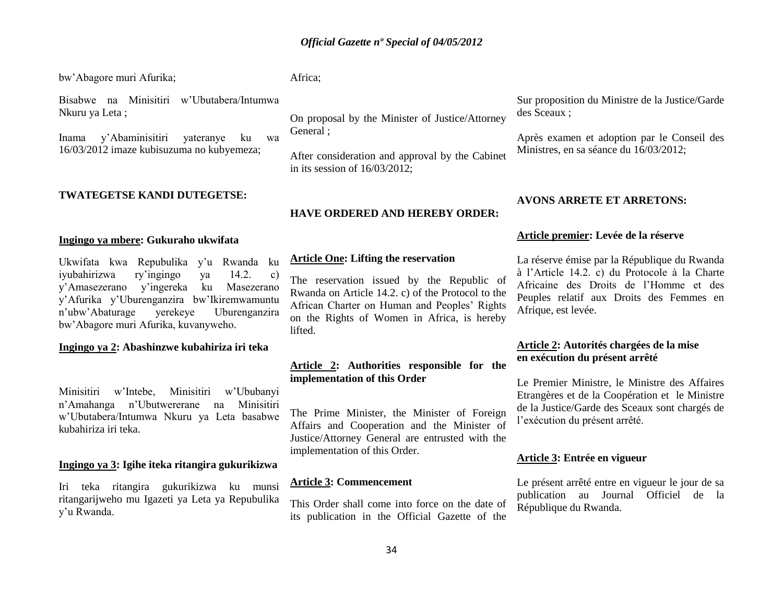bw"Abagore muri Afurika;

Africa;

Bisabwe na Minisitiri w"Ubutabera/Intumwa Nkuru ya Leta ;

Inama y"Abaminisitiri yateranye ku wa 16/03/2012 imaze kubisuzuma no kubyemeza;

# **TWATEGETSE KANDI DUTEGETSE:**

### **Ingingo ya mbere: Gukuraho ukwifata**

Ukwifata kwa Repubulika y"u Rwanda ku iyubahirizwa ry"ingingo ya 14.2. c) y"Amasezerano y"ingereka ku Masezerano y"Afurika y"Uburenganzira bw"Ikiremwamuntu n"ubw"Abaturage yerekeye Uburenganzira bw"Abagore muri Afurika, kuvanyweho.

# **Ingingo ya 2: Abashinzwe kubahiriza iri teka**

Minisitiri w"Intebe, Minisitiri w"Ububanyi n"Amahanga n"Ubutwererane na Minisitiri w"Ubutabera/Intumwa Nkuru ya Leta basabwe kubahiriza iri teka.

## **Ingingo ya 3: Igihe iteka ritangira gukurikizwa**

Iri teka ritangira gukurikizwa ku munsi ritangarijweho mu Igazeti ya Leta ya Repubulika y"u Rwanda.

On proposal by the Minister of Justice/Attorney General ;

After consideration and approval by the Cabinet in its session of 16/03/2012;

# **HAVE ORDERED AND HEREBY ORDER:**

## **Article One: Lifting the reservation**

The reservation issued by the Republic of Rwanda on Article 14.2. c) of the Protocol to the African Charter on Human and Peoples' Rights on the Rights of Women in Africa, is hereby lifted.

# **Article 2: Authorities responsible for the implementation of this Order**

The Prime Minister, the Minister of Foreign Affairs and Cooperation and the Minister of Justice/Attorney General are entrusted with the implementation of this Order.

# **Article 3: Commencement**

This Order shall come into force on the date of its publication in the Official Gazette of the

Sur proposition du Ministre de la Justice/Garde des Sceaux ;

Après examen et adoption par le Conseil des Ministres, en sa séance du 16/03/2012;

## **AVONS ARRETE ET ARRETONS:**

# **Article premier: Levée de la réserve**

La réserve émise par la République du Rwanda à l"Article 14.2. c) du Protocole à la Charte Africaine des Droits de l"Homme et des Peuples relatif aux Droits des Femmes en Afrique, est levée.

# **Article 2: Autorités chargées de la mise en exécution du présent arrêté**

Le Premier Ministre, le Ministre des Affaires Etrangères et de la Coopération et le Ministre de la Justice/Garde des Sceaux sont chargés de l"exécution du présent arrêté.

#### **Article 3: Entrée en vigueur**

Le présent arrêté entre en vigueur le jour de sa publication au Journal Officiel de la République du Rwanda.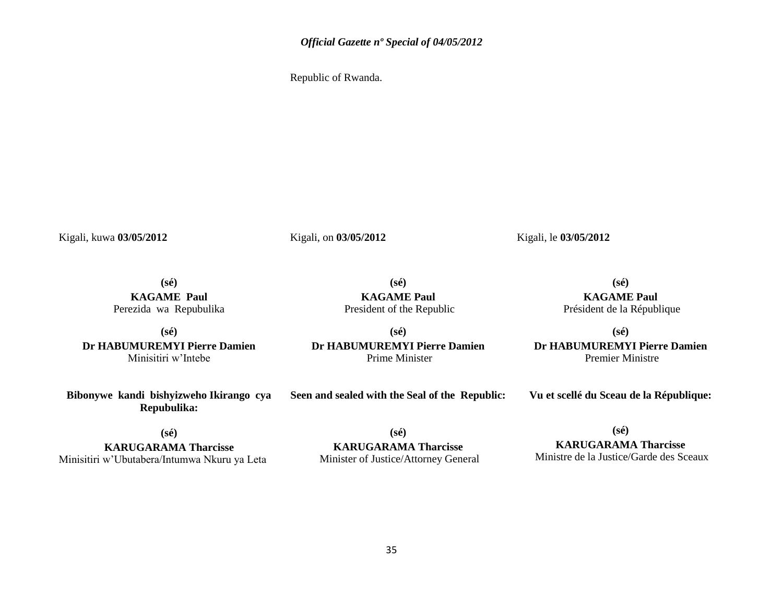Republic of Rwanda.

Kigali, kuwa **03/05/2012** 

Kigali, on **03/05/2012** 

Kigali, le **03/05/2012**

**(sé) KAGAME Paul** Perezida wa Repubulika

**(sé) Dr HABUMUREMYI Pierre Damien** Minisitiri w"Intebe

**(sé) KAGAME Paul** President of the Republic

**(sé) Dr HABUMUREMYI Pierre Damien** Prime Minister

**(sé) KAGAME Paul** Président de la République

**(sé) Dr HABUMUREMYI Pierre Damien** Premier Ministre

**Bibonywe kandi bishyizweho Ikirango cya Repubulika:**

**Seen and sealed with the Seal of the Republic:**

**Vu et scellé du Sceau de la République:**

**(sé)**

**KARUGARAMA Tharcisse** Minisitiri w"Ubutabera/Intumwa Nkuru ya Leta

**(sé) KARUGARAMA Tharcisse** Minister of Justice/Attorney General **(sé)**

**KARUGARAMA Tharcisse** Ministre de la Justice/Garde des Sceaux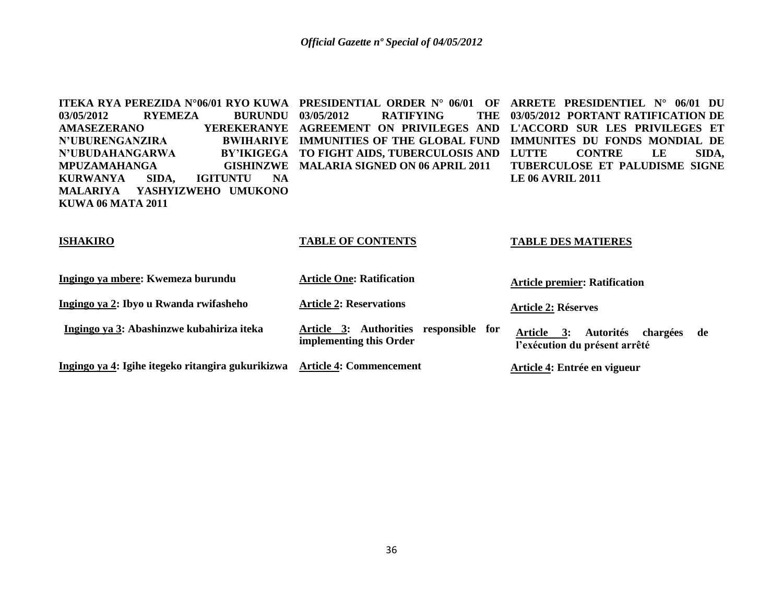| ITEKA RYA PEREZIDA N°06/01 RYO KUWA                      | <b>PRESIDENTIAL ORDER N° 06/01</b><br>OF     | ARRETE PRESIDENTIEL N°<br>06/01 DU               |
|----------------------------------------------------------|----------------------------------------------|--------------------------------------------------|
| <b>RYEMEZA</b><br><b>BURUNDU</b><br>03/05/2012           | 03/05/2012<br><b>RATIFYING</b><br><b>THE</b> | 03/05/2012 PORTANT RATIFICATION DE               |
| <b>AMASEZERANO</b><br><b>YEREKERANYE</b>                 | ON PRIVILEGES AND<br><b>AGREEMENT</b>        | L'ACCORD SUR LES PRIVILEGES ET                   |
| <b>N'UBURENGANZIRA</b><br><b>BWIHARIYE</b>               | <b>IMMUNITIES OF THE GLOBAL FUND</b>         | IMMUNITES DU FONDS MONDIAL DE                    |
| N'UBUDAHANGARWA<br><b>BY'IKIGEGA</b>                     | TO FIGHT AIDS, TUBERCULOSIS AND              | <b>LUTTE</b><br><b>CONTRE</b><br>SIDA,<br>LE     |
| <b>MPUZAMAHANGA</b><br><b>GISHINZWE</b>                  | <b>MALARIA SIGNED ON 06 APRIL 2011</b>       | TUBERCULOSE ET PALUDISME SIGNE                   |
| <b>KURWANYA</b><br>SIDA,<br><b>NA</b><br><b>IGITUNTU</b> |                                              | <b>LE 06 AVRIL 2011</b>                          |
| YASHYIZWEHO UMUKONO<br><b>MALARIYA</b>                   |                                              |                                                  |
| <b>KUWA 06 MATA 2011</b>                                 |                                              |                                                  |
|                                                          |                                              |                                                  |
|                                                          |                                              |                                                  |
| <b>ISHAKIRO</b>                                          | <b>TABLE OF CONTENTS</b>                     | <b>TABLE DES MATIERES</b>                        |
|                                                          |                                              |                                                  |
|                                                          |                                              |                                                  |
| Ingingo ya mbere: Kwemeza burundu                        | <b>Article One: Ratification</b>             | <b>Article premier: Ratification</b>             |
|                                                          |                                              |                                                  |
| Ingingo ya 2: Ibyo u Rwanda rwifasheho                   | <b>Article 2: Reservations</b>               | <b>Article 2: Réserves</b>                       |
| Ingingo ya 3: Abashinzwe kubahiriza iteka                | Article 3: Authorities responsible for       |                                                  |
|                                                          | implementing this Order                      | <b>Autorités</b><br>Article 3:<br>chargées<br>de |
|                                                          |                                              | l'exécution du présent arrêté                    |
| Ingingo ya 4: Igihe itegeko ritangira gukurikizwa        | <b>Article 4: Commencement</b>               | Article 4: Entrée en vigueur                     |
|                                                          |                                              |                                                  |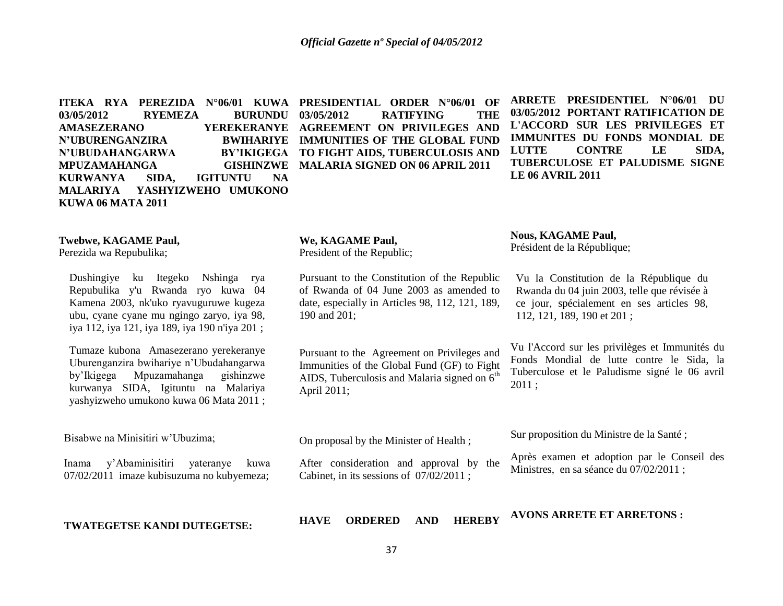03/05/2012 **RYEMEZA BURUNDU 03/05/2012 AMASEZERANO YEREKERANYE AGREEMENT ON PRIVILEGES AND N'UBURENGANZIRA N'UBUDAHANGARWA MPUZAMAHANGA KURWANYA SIDA, IGITUNTU NA MALARIYA YASHYIZWEHO UMUKONO KUWA 06 MATA 2011**

**ITEKA RYA PEREZIDA N°06/01 KUWA PRESIDENTIAL ORDER N°06/01 OF 03/05/2012 RATIFYING THE BWIHARIYE MMUNITIES OF THE GLOBAL FUND TO FIGHT AIDS, TUBERCULOSIS AND GISHINZWE MALARIA SIGNED ON 06 APRIL 2011** 

**ARRETE PRESIDENTIEL N°06/01 DU 03/05/2012 PORTANT RATIFICATION DE L'ACCORD SUR LES PRIVILEGES ET IMMUNITES DU FONDS MONDIAL DE LUTTE CONTRE LE SIDA, TUBERCULOSE ET PALUDISME SIGNE LE 06 AVRIL 2011**

# **Twebwe, KAGAME Paul,**

Perezida wa Repubulika;

Dushingiye ku Itegeko Nshinga rya Repubulika y'u Rwanda ryo kuwa 04 Kamena 2003, nk'uko ryavuguruwe kugeza ubu, cyane cyane mu ngingo zaryo, iya 98, iya 112, iya 121, iya 189, iya 190 n'iya 201 ;

Tumaze kubona Amasezerano yerekeranye Uburenganzira bwihariye n"Ubudahangarwa by"Ikigega Mpuzamahanga gishinzwe kurwanya SIDA, Igituntu na Malariya yashyizweho umukono kuwa 06 Mata 2011 ;

Bisabwe na Minisitiri w"Ubuzima;

Inama y"Abaminisitiri yateranye kuwa 07/02/2011 imaze kubisuzuma no kubyemeza;

**TWATEGETSE KANDI DUTEGETSE:**

#### **We, KAGAME Paul,**

President of the Republic;

Pursuant to the Constitution of the Republic of Rwanda of 04 June 2003 as amended to date, especially in Articles 98, 112, 121, 189, 190 and 201;

Pursuant to the Agreement on Privileges and Immunities of the Global Fund (GF) to Fight AIDS, Tuberculosis and Malaria signed on  $6<sup>th</sup>$ April 2011;

# **Nous, KAGAME Paul,**

Président de la République;

Vu la Constitution de la République du Rwanda du 04 juin 2003, telle que révisée à ce jour, spécialement en ses articles 98, 112, 121, 189, 190 et 201 ;

Vu l'Accord sur les privilèges et Immunités du Fonds Mondial de lutte contre le Sida, la Tuberculose et le Paludisme signé le 06 avril 2011 ;

Sur proposition du Ministre de la Santé ;

Après examen et adoption par le Conseil des Ministres, en sa séance du 07/02/2011 ;

**HAVE ORDERED AND HEREBY** 

**AVONS ARRETE ET ARRETONS :** 

On proposal by the Minister of Health ;

After consideration and approval by the Cabinet, in its sessions of 07/02/2011 ;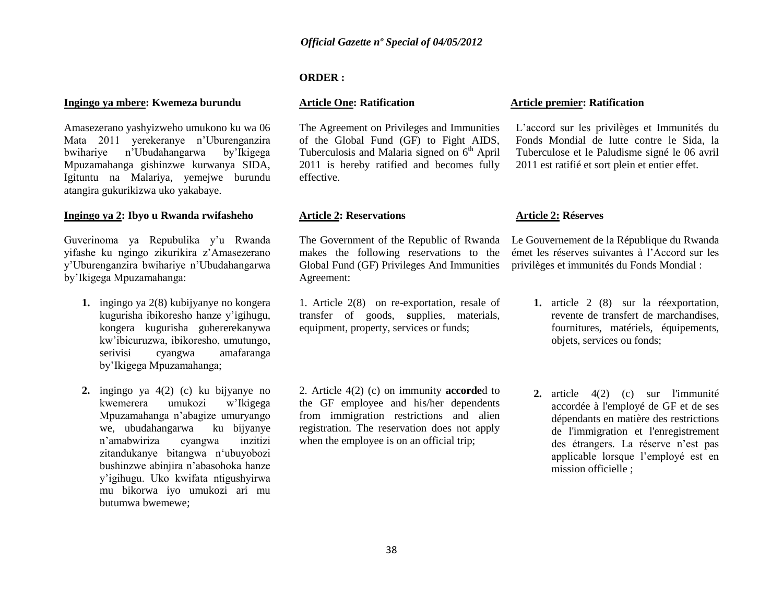# **ORDER :**

# **Article One: Ratification**

The Agreement on Privileges and Immunities of the Global Fund (GF) to Fight AIDS, Tuberculosis and Malaria signed on  $6<sup>th</sup>$  April 2011 is hereby ratified and becomes fully effective.

# **Article 2: Reservations**

The Government of the Republic of Rwanda makes the following reservations to the Global Fund (GF) Privileges And Immunities Agreement:

1. Article 2(8) on re-exportation, resale of transfer of goods, **s**upplies, materials, equipment, property, services or funds;

2. Article 4(2) (c) on immunity **accorde**d to the GF employee and his/her dependents from immigration restrictions and alien registration. The reservation does not apply when the employee is on an official trip;

# **Article premier: Ratification**

L"accord sur les privilèges et Immunités du Fonds Mondial de lutte contre le Sida, la Tuberculose et le Paludisme signé le 06 avril 2011 est ratifié et sort plein et entier effet.

# **Article 2: Réserves**

Le Gouvernement de la République du Rwanda émet les réserves suivantes à l"Accord sur les privilèges et immunités du Fonds Mondial :

- **1.** article 2 (8) sur la réexportation, revente de transfert de marchandises, fournitures, matériels, équipements, objets, services ou fonds;
- **2.** article 4(2) (c) sur l'immunité accordée à l'employé de GF et de ses dépendants en matière des restrictions de l'immigration et l'enregistrement des étrangers. La réserve n"est pas applicable lorsque l"employé est en mission officielle :

# **Ingingo ya mbere: Kwemeza burundu**

Amasezerano yashyizweho umukono ku wa 06 Mata 2011 yerekeranye n"Uburenganzira bwihariye n"Ubudahangarwa by"Ikigega Mpuzamahanga gishinzwe kurwanya SIDA, Igituntu na Malariya, yemejwe burundu atangira gukurikizwa uko yakabaye.

# **Ingingo ya 2: Ibyo u Rwanda rwifasheho**

Guverinoma ya Repubulika y"u Rwanda yifashe ku ngingo zikurikira z"Amasezerano y"Uburenganzira bwihariye n"Ubudahangarwa by"Ikigega Mpuzamahanga:

- **1.** ingingo ya 2(8) kubijyanye no kongera kugurisha ibikoresho hanze y"igihugu, kongera kugurisha guhererekanywa kw"ibicuruzwa, ibikoresho, umutungo, serivisi cyangwa amafaranga by"Ikigega Mpuzamahanga;
- **2.** ingingo ya 4(2) (c) ku bijyanye no kwemerera umukozi w"Ikigega Mpuzamahanga n"abagize umuryango we, ubudahangarwa ku bijyanye n"amabwiriza cyangwa inzitizi zitandukanye bitangwa n"ubuyobozi bushinzwe abinjira n"abasohoka hanze y"igihugu. Uko kwifata ntigushyirwa mu bikorwa iyo umukozi ari mu butumwa bwemewe;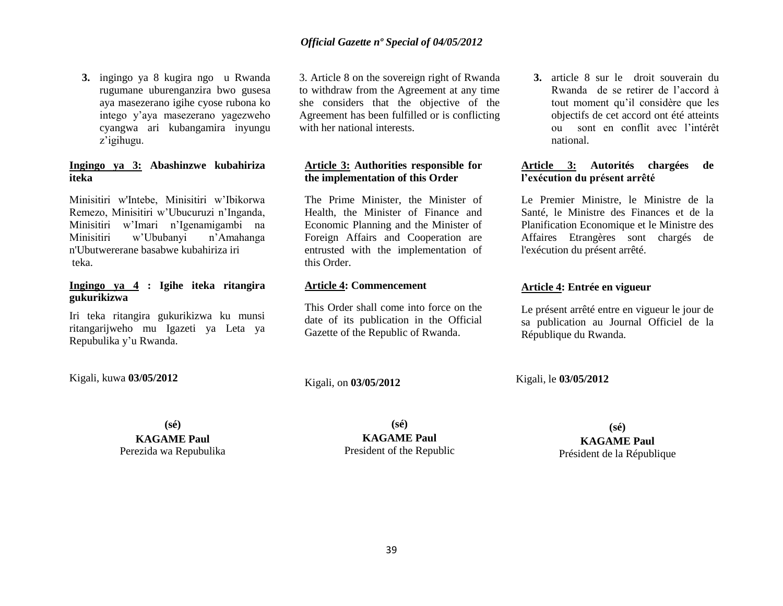**3.** ingingo ya 8 kugira ngo u Rwanda rugumane uburenganzira bwo gusesa aya masezerano igihe cyose rubona ko intego y"aya masezerano yagezweho cyangwa ari kubangamira inyungu z"igihugu.

# **Ingingo ya 3: Abashinzwe kubahiriza iteka**

Minisitiri w'Intebe, Minisitiri w"Ibikorwa Remezo, Minisitiri w"Ubucuruzi n"Inganda, Minisitiri w"Imari n"Igenamigambi na Minisitiri w"Ububanyi n"Amahanga n'Ubutwererane basabwe kubahiriza iri teka.

# **Ingingo ya 4 : Igihe iteka ritangira gukurikizwa**

Iri teka ritangira gukurikizwa ku munsi ritangarijweho mu Igazeti ya Leta ya Repubulika y"u Rwanda.

3. Article 8 on the sovereign right of Rwanda to withdraw from the Agreement at any time she considers that the objective of the Agreement has been fulfilled or is conflicting with her national interests.

# **Article 3: Authorities responsible for the implementation of this Order**

The Prime Minister, the Minister of Health, the Minister of Finance and Economic Planning and the Minister of Foreign Affairs and Cooperation are entrusted with the implementation of this Order.

# **Article 4: Commencement**

This Order shall come into force on the date of its publication in the Official Gazette of the Republic of Rwanda.

**3.** article 8 sur le droit souverain du Rwanda de se retirer de l"accord à tout moment qu"il considère que les objectifs de cet accord ont été atteints ou sont en conflit avec l"intérêt national.

# **Article 3: Autorités chargées de l'exécution du présent arrêté**

Le Premier Ministre, le Ministre de la Santé, le Ministre des Finances et de la Planification Economique et le Ministre des Affaires Etrangères sont chargés de l'exécution du présent arrêté.

# **Article 4: Entrée en vigueur**

Le présent arrêté entre en vigueur le jour de sa publication au Journal Officiel de la République du Rwanda.

Kigali, kuwa **03/05/2012**

Kigali, on **03/05/2012** 

Kigali, le **03/05/2012** 

**(sé)**

**KAGAME Paul** Perezida wa Repubulika

**(sé) KAGAME Paul** President of the Republic

**(sé)**

**KAGAME Paul** Président de la République